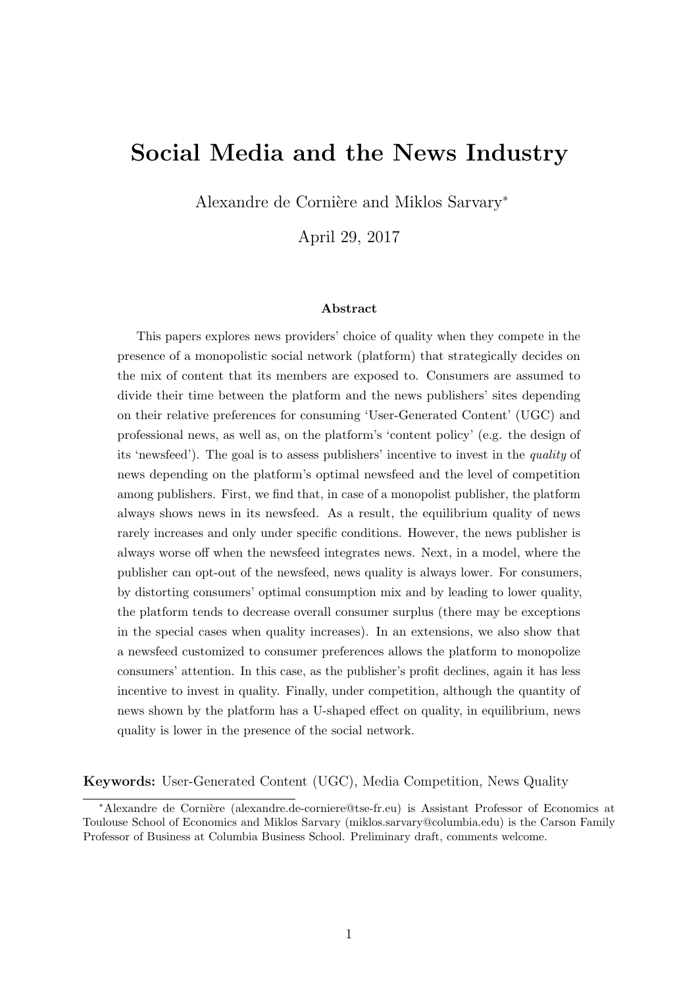# Social Media and the News Industry

Alexandre de Cornière and Miklos Sarvary<sup>\*</sup>

April 29, 2017

#### Abstract

This papers explores news providers' choice of quality when they compete in the presence of a monopolistic social network (platform) that strategically decides on the mix of content that its members are exposed to. Consumers are assumed to divide their time between the platform and the news publishers' sites depending on their relative preferences for consuming 'User-Generated Content' (UGC) and professional news, as well as, on the platform's 'content policy' (e.g. the design of its 'newsfeed'). The goal is to assess publishers' incentive to invest in the quality of news depending on the platform's optimal newsfeed and the level of competition among publishers. First, we find that, in case of a monopolist publisher, the platform always shows news in its newsfeed. As a result, the equilibrium quality of news rarely increases and only under specific conditions. However, the news publisher is always worse off when the newsfeed integrates news. Next, in a model, where the publisher can opt-out of the newsfeed, news quality is always lower. For consumers, by distorting consumers' optimal consumption mix and by leading to lower quality, the platform tends to decrease overall consumer surplus (there may be exceptions in the special cases when quality increases). In an extensions, we also show that a newsfeed customized to consumer preferences allows the platform to monopolize consumers' attention. In this case, as the publisher's profit declines, again it has less incentive to invest in quality. Finally, under competition, although the quantity of news shown by the platform has a U-shaped effect on quality, in equilibrium, news quality is lower in the presence of the social network.

#### Keywords: User-Generated Content (UGC), Media Competition, News Quality

<sup>∗</sup>Alexandre de Corni`ere (alexandre.de-corniere@tse-fr.eu) is Assistant Professor of Economics at Toulouse School of Economics and Miklos Sarvary (miklos.sarvary@columbia.edu) is the Carson Family Professor of Business at Columbia Business School. Preliminary draft, comments welcome.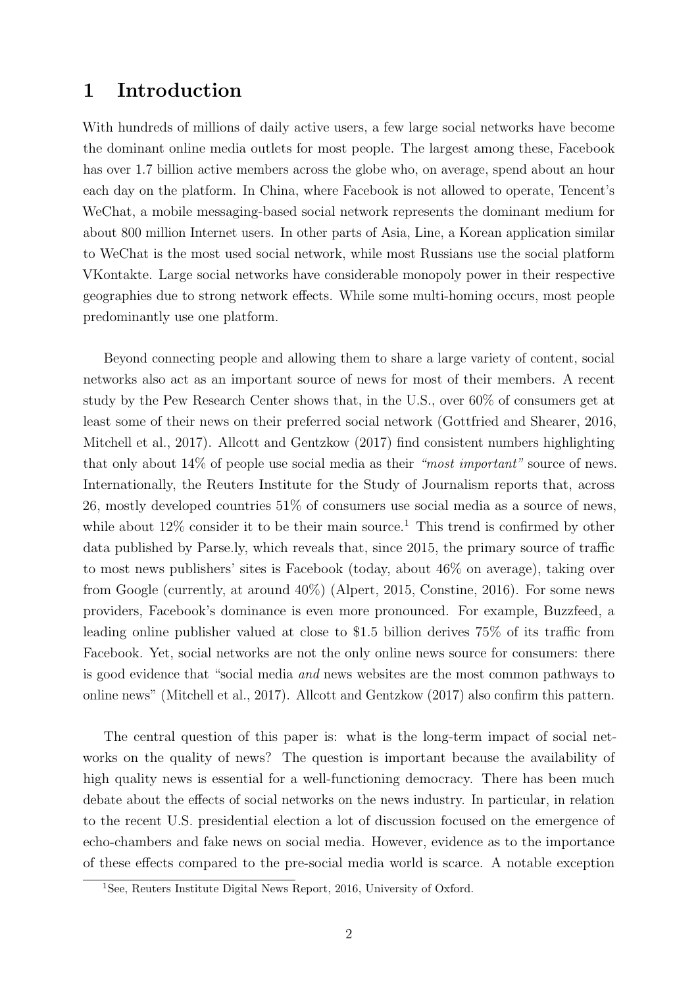### 1 Introduction

With hundreds of millions of daily active users, a few large social networks have become the dominant online media outlets for most people. The largest among these, Facebook has over 1.7 billion active members across the globe who, on average, spend about an hour each day on the platform. In China, where Facebook is not allowed to operate, Tencent's WeChat, a mobile messaging-based social network represents the dominant medium for about 800 million Internet users. In other parts of Asia, Line, a Korean application similar to WeChat is the most used social network, while most Russians use the social platform VKontakte. Large social networks have considerable monopoly power in their respective geographies due to strong network effects. While some multi-homing occurs, most people predominantly use one platform.

Beyond connecting people and allowing them to share a large variety of content, social networks also act as an important source of news for most of their members. A recent study by the Pew Research Center shows that, in the U.S., over 60% of consumers get at least some of their news on their preferred social network (Gottfried and Shearer, [2016,](#page-22-0) Mitchell et al., [2017\)](#page-23-0). Allcott and Gentzkow [\(2017\)](#page-22-1) find consistent numbers highlighting that only about 14% of people use social media as their "most important" source of news. Internationally, the Reuters Institute for the Study of Journalism reports that, across 26, mostly developed countries 51% of consumers use social media as a source of news, while about  $12\%$  consider it to be their main source.<sup>1</sup> This trend is confirmed by other data published by Parse.ly, which reveals that, since 2015, the primary source of traffic to most news publishers' sites is Facebook (today, about 46% on average), taking over from Google (currently, at around 40%) (Alpert, [2015,](#page-22-2) Constine, [2016\)](#page-22-3). For some news providers, Facebook's dominance is even more pronounced. For example, Buzzfeed, a leading online publisher valued at close to \$1.5 billion derives 75% of its traffic from Facebook. Yet, social networks are not the only online news source for consumers: there is good evidence that "social media and news websites are the most common pathways to online news" (Mitchell et al., [2017\)](#page-23-0). Allcott and Gentzkow [\(2017\)](#page-22-1) also confirm this pattern.

The central question of this paper is: what is the long-term impact of social networks on the quality of news? The question is important because the availability of high quality news is essential for a well-functioning democracy. There has been much debate about the effects of social networks on the news industry. In particular, in relation to the recent U.S. presidential election a lot of discussion focused on the emergence of echo-chambers and fake news on social media. However, evidence as to the importance of these effects compared to the pre-social media world is scarce. A notable exception

<sup>&</sup>lt;sup>1</sup>See, Reuters Institute Digital News Report, 2016, University of Oxford.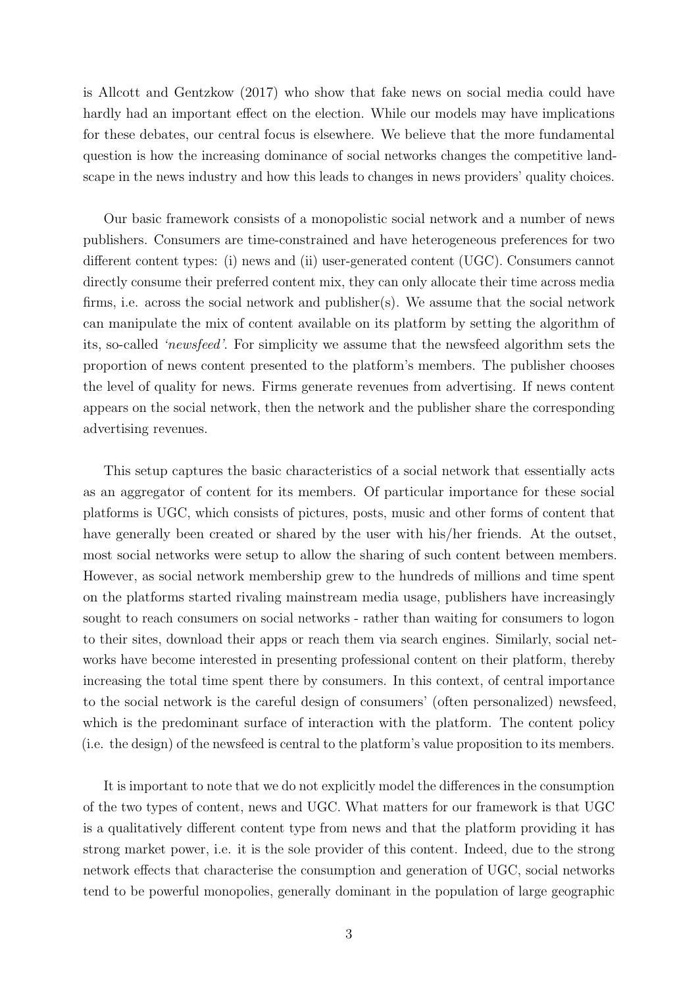is Allcott and Gentzkow [\(2017\)](#page-22-1) who show that fake news on social media could have hardly had an important effect on the election. While our models may have implications for these debates, our central focus is elsewhere. We believe that the more fundamental question is how the increasing dominance of social networks changes the competitive landscape in the news industry and how this leads to changes in news providers' quality choices.

Our basic framework consists of a monopolistic social network and a number of news publishers. Consumers are time-constrained and have heterogeneous preferences for two different content types: (i) news and (ii) user-generated content (UGC). Consumers cannot directly consume their preferred content mix, they can only allocate their time across media firms, i.e. across the social network and publisher(s). We assume that the social network can manipulate the mix of content available on its platform by setting the algorithm of its, so-called 'newsfeed'. For simplicity we assume that the newsfeed algorithm sets the proportion of news content presented to the platform's members. The publisher chooses the level of quality for news. Firms generate revenues from advertising. If news content appears on the social network, then the network and the publisher share the corresponding advertising revenues.

This setup captures the basic characteristics of a social network that essentially acts as an aggregator of content for its members. Of particular importance for these social platforms is UGC, which consists of pictures, posts, music and other forms of content that have generally been created or shared by the user with his/her friends. At the outset, most social networks were setup to allow the sharing of such content between members. However, as social network membership grew to the hundreds of millions and time spent on the platforms started rivaling mainstream media usage, publishers have increasingly sought to reach consumers on social networks - rather than waiting for consumers to logon to their sites, download their apps or reach them via search engines. Similarly, social networks have become interested in presenting professional content on their platform, thereby increasing the total time spent there by consumers. In this context, of central importance to the social network is the careful design of consumers' (often personalized) newsfeed, which is the predominant surface of interaction with the platform. The content policy (i.e. the design) of the newsfeed is central to the platform's value proposition to its members.

It is important to note that we do not explicitly model the differences in the consumption of the two types of content, news and UGC. What matters for our framework is that UGC is a qualitatively different content type from news and that the platform providing it has strong market power, i.e. it is the sole provider of this content. Indeed, due to the strong network effects that characterise the consumption and generation of UGC, social networks tend to be powerful monopolies, generally dominant in the population of large geographic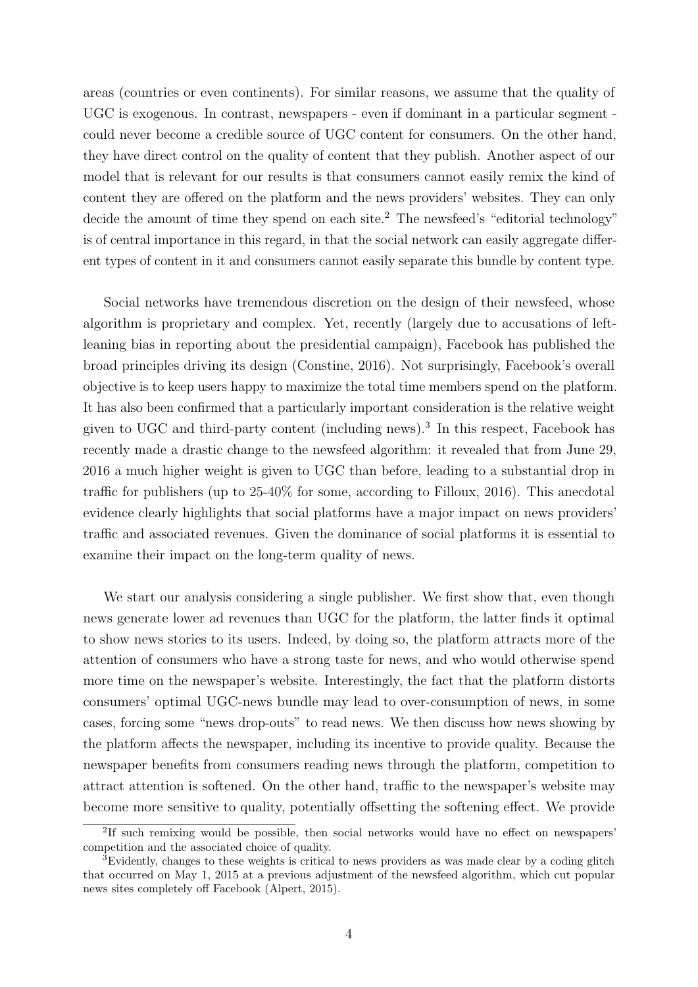areas (countries or even continents). For similar reasons, we assume that the quality of UGC is exogenous. In contrast, newspapers - even if dominant in a particular segment could never become a credible source of UGC content for consumers. On the other hand, they have direct control on the quality of content that they publish. Another aspect of our model that is relevant for our results is that consumers cannot easily remix the kind of content they are offered on the platform and the news providers' websites. They can only decide the amount of time they spend on each site.<sup>2</sup> The newsfeed's "editorial technology" is of central importance in this regard, in that the social network can easily aggregate different types of content in it and consumers cannot easily separate this bundle by content type.

Social networks have tremendous discretion on the design of their newsfeed, whose algorithm is proprietary and complex. Yet, recently (largely due to accusations of leftleaning bias in reporting about the presidential campaign), Facebook has published the broad principles driving its design (Constine, [2016\)](#page-22-3). Not surprisingly, Facebook's overall objective is to keep users happy to maximize the total time members spend on the platform. It has also been confirmed that a particularly important consideration is the relative weight given to UGC and third-party content (including news).<sup>3</sup> In this respect, Facebook has recently made a drastic change to the newsfeed algorithm: it revealed that from June 29, 2016 a much higher weight is given to UGC than before, leading to a substantial drop in traffic for publishers (up to 25-40% for some, according to Filloux, [2016\)](#page-22-4). This anecdotal evidence clearly highlights that social platforms have a major impact on news providers' traffic and associated revenues. Given the dominance of social platforms it is essential to examine their impact on the long-term quality of news.

We start our analysis considering a single publisher. We first show that, even though news generate lower ad revenues than UGC for the platform, the latter finds it optimal to show news stories to its users. Indeed, by doing so, the platform attracts more of the attention of consumers who have a strong taste for news, and who would otherwise spend more time on the newspaper's website. Interestingly, the fact that the platform distorts consumers' optimal UGC-news bundle may lead to over-consumption of news, in some cases, forcing some "news drop-outs" to read news. We then discuss how news showing by the platform affects the newspaper, including its incentive to provide quality. Because the newspaper benefits from consumers reading news through the platform, competition to attract attention is softened. On the other hand, traffic to the newspaper's website may become more sensitive to quality, potentially offsetting the softening effect. We provide

<sup>2</sup> If such remixing would be possible, then social networks would have no effect on newspapers' competition and the associated choice of quality.

<sup>3</sup>Evidently, changes to these weights is critical to news providers as was made clear by a coding glitch that occurred on May 1, 2015 at a previous adjustment of the newsfeed algorithm, which cut popular news sites completely off Facebook (Alpert, [2015\)](#page-22-2).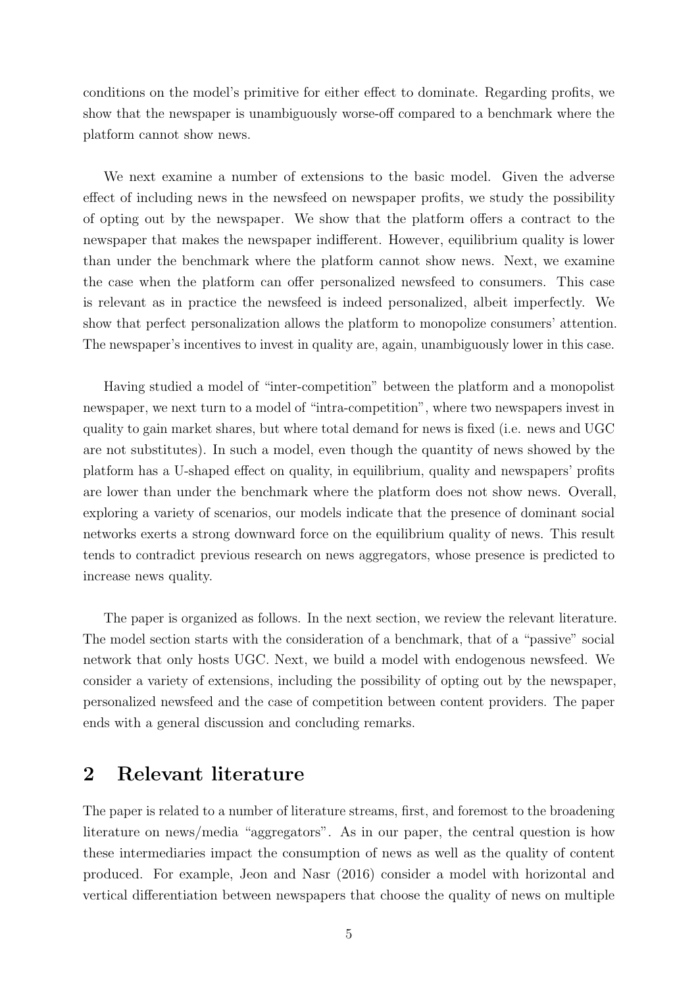conditions on the model's primitive for either effect to dominate. Regarding profits, we show that the newspaper is unambiguously worse-off compared to a benchmark where the platform cannot show news.

We next examine a number of extensions to the basic model. Given the adverse effect of including news in the newsfeed on newspaper profits, we study the possibility of opting out by the newspaper. We show that the platform offers a contract to the newspaper that makes the newspaper indifferent. However, equilibrium quality is lower than under the benchmark where the platform cannot show news. Next, we examine the case when the platform can offer personalized newsfeed to consumers. This case is relevant as in practice the newsfeed is indeed personalized, albeit imperfectly. We show that perfect personalization allows the platform to monopolize consumers' attention. The newspaper's incentives to invest in quality are, again, unambiguously lower in this case.

Having studied a model of "inter-competition" between the platform and a monopolist newspaper, we next turn to a model of "intra-competition", where two newspapers invest in quality to gain market shares, but where total demand for news is fixed (i.e. news and UGC are not substitutes). In such a model, even though the quantity of news showed by the platform has a U-shaped effect on quality, in equilibrium, quality and newspapers' profits are lower than under the benchmark where the platform does not show news. Overall, exploring a variety of scenarios, our models indicate that the presence of dominant social networks exerts a strong downward force on the equilibrium quality of news. This result tends to contradict previous research on news aggregators, whose presence is predicted to increase news quality.

The paper is organized as follows. In the next section, we review the relevant literature. The model section starts with the consideration of a benchmark, that of a "passive" social network that only hosts UGC. Next, we build a model with endogenous newsfeed. We consider a variety of extensions, including the possibility of opting out by the newspaper, personalized newsfeed and the case of competition between content providers. The paper ends with a general discussion and concluding remarks.

### 2 Relevant literature

The paper is related to a number of literature streams, first, and foremost to the broadening literature on news/media "aggregators". As in our paper, the central question is how these intermediaries impact the consumption of news as well as the quality of content produced. For example, Jeon and Nasr [\(2016\)](#page-23-1) consider a model with horizontal and vertical differentiation between newspapers that choose the quality of news on multiple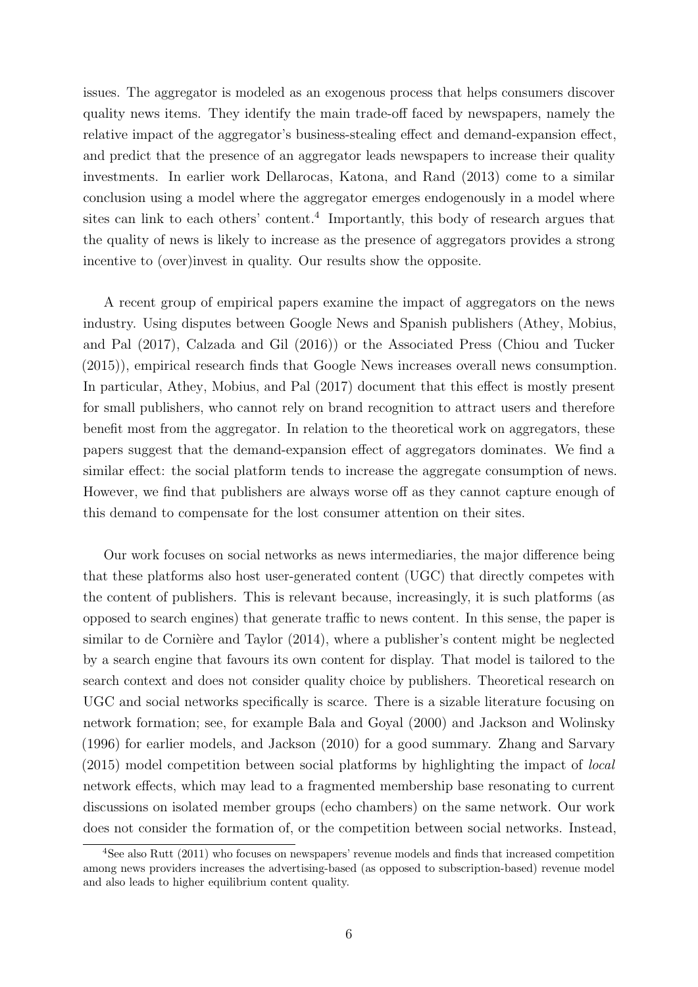issues. The aggregator is modeled as an exogenous process that helps consumers discover quality news items. They identify the main trade-off faced by newspapers, namely the relative impact of the aggregator's business-stealing effect and demand-expansion effect, and predict that the presence of an aggregator leads newspapers to increase their quality investments. In earlier work Dellarocas, Katona, and Rand [\(2013\)](#page-22-5) come to a similar conclusion using a model where the aggregator emerges endogenously in a model where sites can link to each others' content.<sup>4</sup> Importantly, this body of research argues that the quality of news is likely to increase as the presence of aggregators provides a strong incentive to (over)invest in quality. Our results show the opposite.

A recent group of empirical papers examine the impact of aggregators on the news industry. Using disputes between Google News and Spanish publishers (Athey, Mobius, and Pal [\(2017\)](#page-22-6), Calzada and Gil [\(2016\)](#page-22-7)) or the Associated Press (Chiou and Tucker [\(2015\)](#page-22-8)), empirical research finds that Google News increases overall news consumption. In particular, Athey, Mobius, and Pal [\(2017\)](#page-22-6) document that this effect is mostly present for small publishers, who cannot rely on brand recognition to attract users and therefore benefit most from the aggregator. In relation to the theoretical work on aggregators, these papers suggest that the demand-expansion effect of aggregators dominates. We find a similar effect: the social platform tends to increase the aggregate consumption of news. However, we find that publishers are always worse off as they cannot capture enough of this demand to compensate for the lost consumer attention on their sites.

Our work focuses on social networks as news intermediaries, the major difference being that these platforms also host user-generated content (UGC) that directly competes with the content of publishers. This is relevant because, increasingly, it is such platforms (as opposed to search engines) that generate traffic to news content. In this sense, the paper is similar to de Cornière and Taylor [\(2014\)](#page-22-9), where a publisher's content might be neglected by a search engine that favours its own content for display. That model is tailored to the search context and does not consider quality choice by publishers. Theoretical research on UGC and social networks specifically is scarce. There is a sizable literature focusing on network formation; see, for example Bala and Goyal [\(2000\)](#page-22-10) and Jackson and Wolinsky [\(1996\)](#page-22-11) for earlier models, and Jackson [\(2010\)](#page-22-12) for a good summary. Zhang and Sarvary [\(2015\)](#page-23-2) model competition between social platforms by highlighting the impact of local network effects, which may lead to a fragmented membership base resonating to current discussions on isolated member groups (echo chambers) on the same network. Our work does not consider the formation of, or the competition between social networks. Instead,

<sup>4</sup>See also Rutt [\(2011\)](#page-23-3) who focuses on newspapers' revenue models and finds that increased competition among news providers increases the advertising-based (as opposed to subscription-based) revenue model and also leads to higher equilibrium content quality.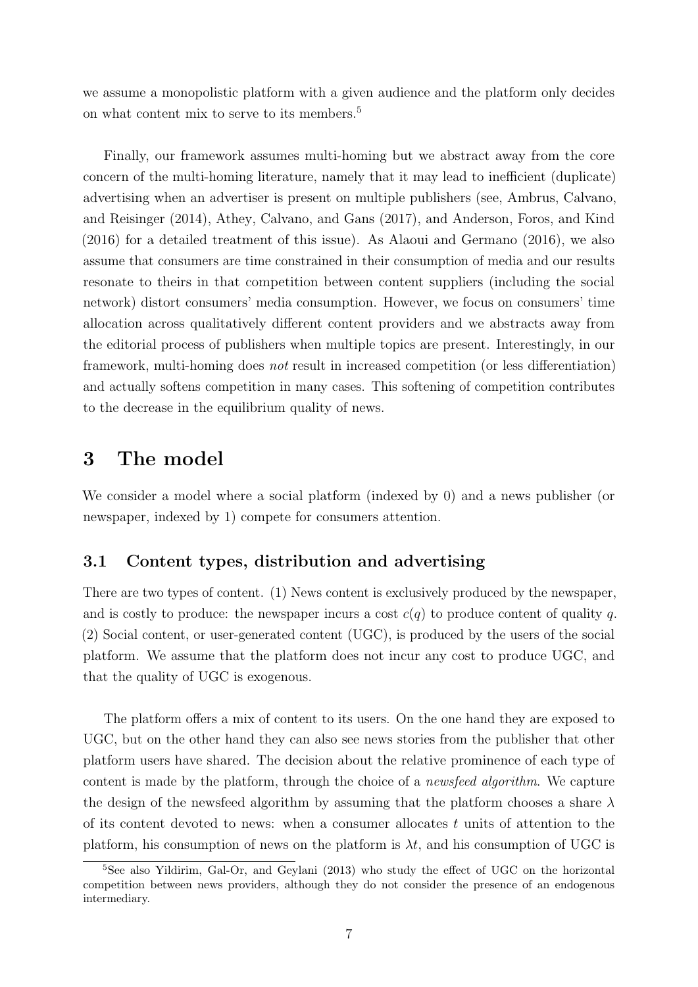we assume a monopolistic platform with a given audience and the platform only decides on what content mix to serve to its members.<sup>5</sup>

Finally, our framework assumes multi-homing but we abstract away from the core concern of the multi-homing literature, namely that it may lead to inefficient (duplicate) advertising when an advertiser is present on multiple publishers (see, Ambrus, Calvano, and Reisinger [\(2014\)](#page-22-13), Athey, Calvano, and Gans [\(2017\)](#page-22-14), and Anderson, Foros, and Kind [\(2016\)](#page-22-15) for a detailed treatment of this issue). As Alaoui and Germano [\(2016\)](#page-22-16), we also assume that consumers are time constrained in their consumption of media and our results resonate to theirs in that competition between content suppliers (including the social network) distort consumers' media consumption. However, we focus on consumers' time allocation across qualitatively different content providers and we abstracts away from the editorial process of publishers when multiple topics are present. Interestingly, in our framework, multi-homing does not result in increased competition (or less differentiation) and actually softens competition in many cases. This softening of competition contributes to the decrease in the equilibrium quality of news.

### 3 The model

We consider a model where a social platform (indexed by 0) and a news publisher (or newspaper, indexed by 1) compete for consumers attention.

### 3.1 Content types, distribution and advertising

There are two types of content. (1) News content is exclusively produced by the newspaper, and is costly to produce: the newspaper incurs a cost  $c(q)$  to produce content of quality q. (2) Social content, or user-generated content (UGC), is produced by the users of the social platform. We assume that the platform does not incur any cost to produce UGC, and that the quality of UGC is exogenous.

The platform offers a mix of content to its users. On the one hand they are exposed to UGC, but on the other hand they can also see news stories from the publisher that other platform users have shared. The decision about the relative prominence of each type of content is made by the platform, through the choice of a newsfeed algorithm. We capture the design of the newsfeed algorithm by assuming that the platform chooses a share  $\lambda$ of its content devoted to news: when a consumer allocates t units of attention to the platform, his consumption of news on the platform is  $\lambda t$ , and his consumption of UGC is

<sup>&</sup>lt;sup>5</sup>See also Yildirim, Gal-Or, and Geylani [\(2013\)](#page-23-4) who study the effect of UGC on the horizontal competition between news providers, although they do not consider the presence of an endogenous intermediary.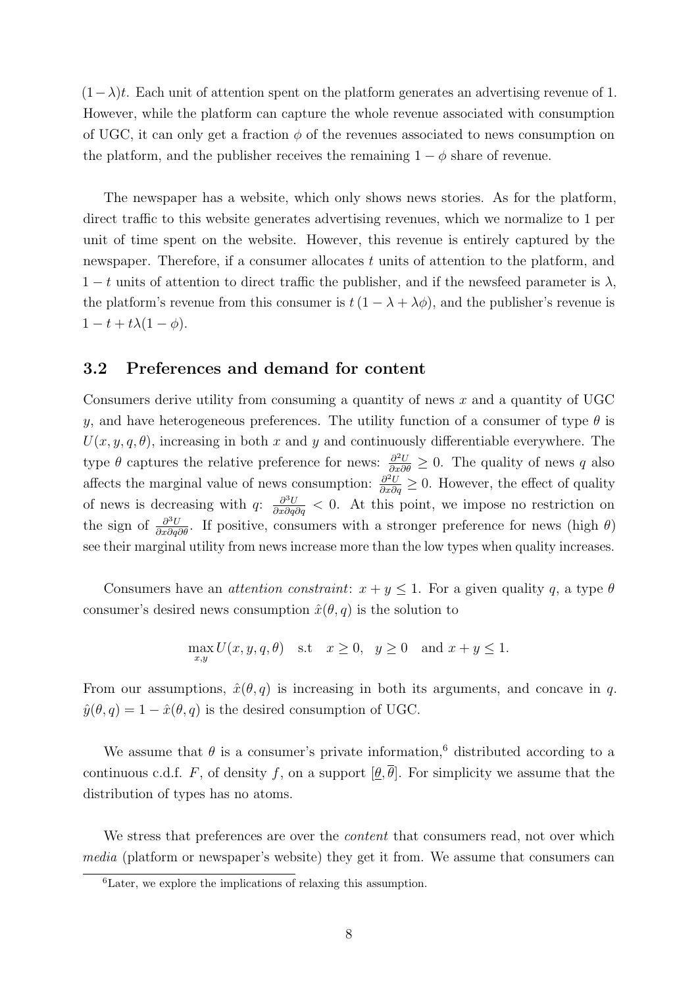$(1-\lambda)t$ . Each unit of attention spent on the platform generates an advertising revenue of 1. However, while the platform can capture the whole revenue associated with consumption of UGC, it can only get a fraction  $\phi$  of the revenues associated to news consumption on the platform, and the publisher receives the remaining  $1 - \phi$  share of revenue.

The newspaper has a website, which only shows news stories. As for the platform, direct traffic to this website generates advertising revenues, which we normalize to 1 per unit of time spent on the website. However, this revenue is entirely captured by the newspaper. Therefore, if a consumer allocates t units of attention to the platform, and  $1-t$  units of attention to direct traffic the publisher, and if the newsfeed parameter is  $\lambda$ , the platform's revenue from this consumer is  $t(1 - \lambda + \lambda \phi)$ , and the publisher's revenue is  $1-t+t\lambda(1-\phi).$ 

#### 3.2 Preferences and demand for content

Consumers derive utility from consuming a quantity of news  $x$  and a quantity of UGC y, and have heterogeneous preferences. The utility function of a consumer of type  $\theta$  is  $U(x, y, q, \theta)$ , increasing in both x and y and continuously differentiable everywhere. The type  $\theta$  captures the relative preference for news:  $\frac{\partial^2 U}{\partial x \partial \theta} \geq 0$ . The quality of news q also affects the marginal value of news consumption:  $\frac{\partial^2 U}{\partial x \partial q} \geq 0$ . However, the effect of quality of news is decreasing with  $q: \frac{\partial^3 U}{\partial x \partial q \partial q} < 0$ . At this point, we impose no restriction on the sign of  $\frac{\partial^3 U}{\partial x \partial q \partial \theta}$ . If positive, consumers with a stronger preference for news (high  $\theta$ ) see their marginal utility from news increase more than the low types when quality increases.

Consumers have an *attention constraint*:  $x + y \leq 1$ . For a given quality q, a type  $\theta$ consumer's desired news consumption  $\hat{x}(\theta, q)$  is the solution to

$$
\max_{x,y} U(x, y, q, \theta) \quad \text{s.t} \quad x \ge 0, \quad y \ge 0 \quad \text{and } x + y \le 1.
$$

From our assumptions,  $\hat{x}(\theta, q)$  is increasing in both its arguments, and concave in q.  $\hat{y}(\theta, q) = 1 - \hat{x}(\theta, q)$  is the desired consumption of UGC.

We assume that  $\theta$  is a consumer's private information,<sup>6</sup> distributed according to a continuous c.d.f. F, of density f, on a support  $[\underline{\theta}, \overline{\theta}]$ . For simplicity we assume that the distribution of types has no atoms.

We stress that preferences are over the *content* that consumers read, not over which media (platform or newspaper's website) they get it from. We assume that consumers can

<sup>6</sup>Later, we explore the implications of relaxing this assumption.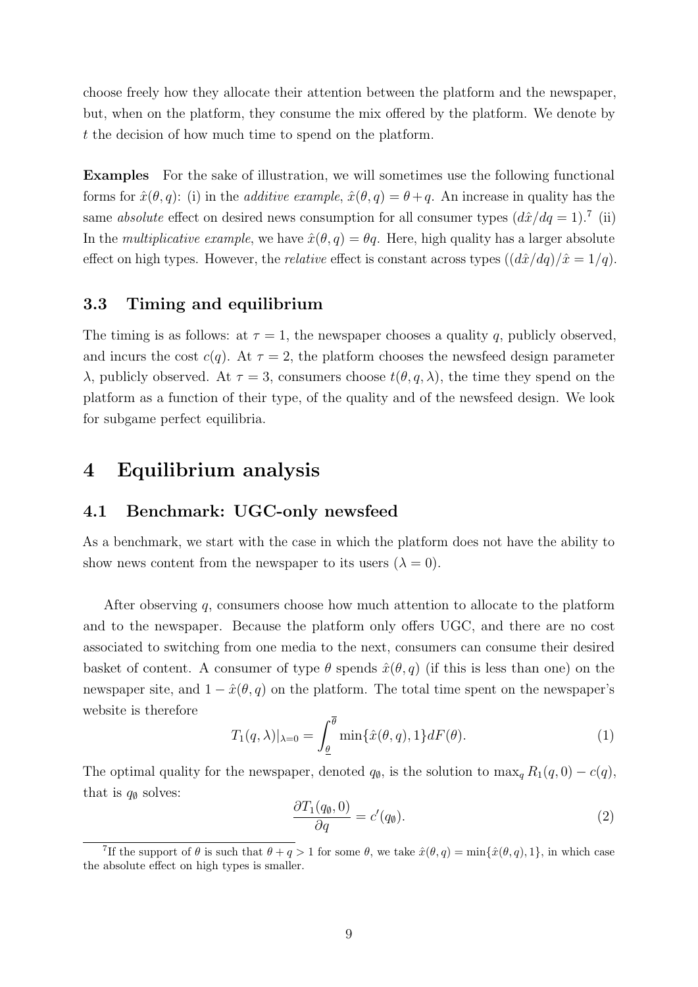choose freely how they allocate their attention between the platform and the newspaper, but, when on the platform, they consume the mix offered by the platform. We denote by t the decision of how much time to spend on the platform.

Examples For the sake of illustration, we will sometimes use the following functional forms for  $\hat{x}(\theta, q)$ : (i) in the *additive example*,  $\hat{x}(\theta, q) = \theta + q$ . An increase in quality has the same absolute effect on desired news consumption for all consumer types  $(d\hat{x}/dq = 1)$ .<sup>7</sup> (ii) In the *multiplicative example*, we have  $\hat{x}(\theta, q) = \theta q$ . Here, high quality has a larger absolute effect on high types. However, the *relative* effect is constant across types  $\left(\frac{d\hat{x}}{dq}\right)/\hat{x} = 1/q$ .

### 3.3 Timing and equilibrium

The timing is as follows: at  $\tau = 1$ , the newspaper chooses a quality q, publicly observed, and incurs the cost  $c(q)$ . At  $\tau = 2$ , the platform chooses the newsfeed design parameter λ, publicly observed. At  $τ = 3$ , consumers choose  $t(θ, q, λ)$ , the time they spend on the platform as a function of their type, of the quality and of the newsfeed design. We look for subgame perfect equilibria.

## 4 Equilibrium analysis

#### <span id="page-8-1"></span>4.1 Benchmark: UGC-only newsfeed

As a benchmark, we start with the case in which the platform does not have the ability to show news content from the newspaper to its users  $(\lambda = 0)$ .

After observing q, consumers choose how much attention to allocate to the platform and to the newspaper. Because the platform only offers UGC, and there are no cost associated to switching from one media to the next, consumers can consume their desired basket of content. A consumer of type  $\theta$  spends  $\hat{x}(\theta, q)$  (if this is less than one) on the newspaper site, and  $1 - \hat{x}(\theta, q)$  on the platform. The total time spent on the newspaper's website is therefore

<span id="page-8-2"></span>
$$
T_1(q,\lambda)|_{\lambda=0} = \int_{\underline{\theta}}^{\overline{\theta}} \min\{\hat{x}(\theta,q),1\} dF(\theta). \tag{1}
$$

The optimal quality for the newspaper, denoted  $q_{\emptyset}$ , is the solution to  $\max_{q} R_1(q, 0) - c(q)$ , that is  $q_{\emptyset}$  solves:

<span id="page-8-0"></span>
$$
\frac{\partial T_1(q_\emptyset, 0)}{\partial q} = c'(q_\emptyset). \tag{2}
$$

<sup>&</sup>lt;sup>7</sup>If the support of  $\theta$  is such that  $\theta + q > 1$  for some  $\theta$ , we take  $\hat{x}(\theta, q) = \min{\{\hat{x}(\theta, q), 1\}}$ , in which case the absolute effect on high types is smaller.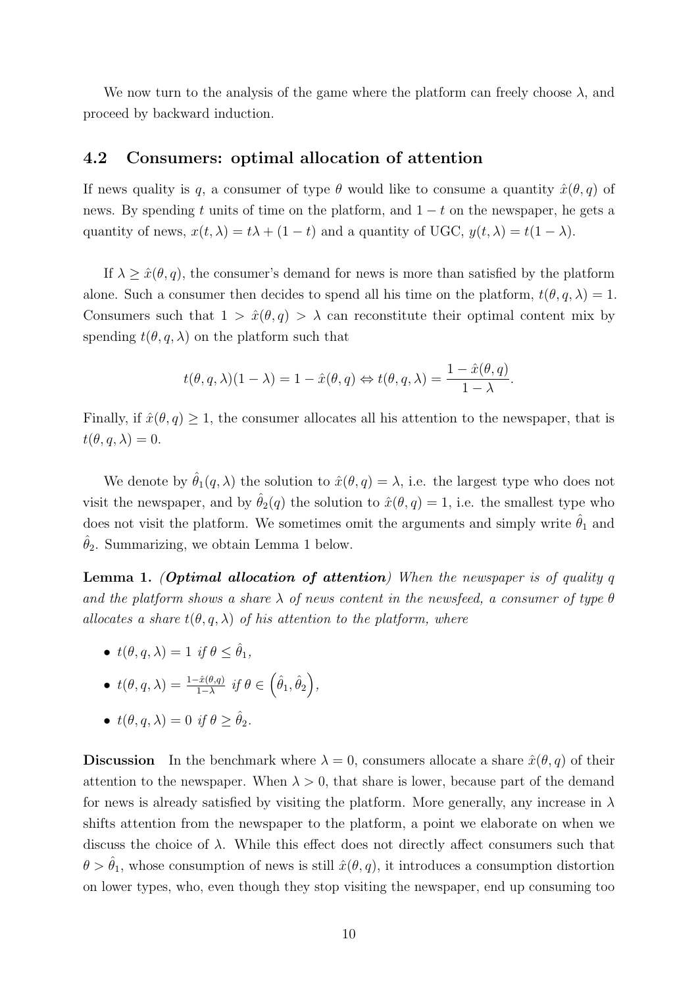We now turn to the analysis of the game where the platform can freely choose  $\lambda$ , and proceed by backward induction.

#### <span id="page-9-1"></span>4.2 Consumers: optimal allocation of attention

If news quality is q, a consumer of type  $\theta$  would like to consume a quantity  $\hat{x}(\theta, q)$  of news. By spending t units of time on the platform, and  $1 - t$  on the newspaper, he gets a quantity of news,  $x(t, \lambda) = t\lambda + (1 - t)$  and a quantity of UGC,  $y(t, \lambda) = t(1 - \lambda)$ .

If  $\lambda \geq \hat{x}(\theta, q)$ , the consumer's demand for news is more than satisfied by the platform alone. Such a consumer then decides to spend all his time on the platform,  $t(\theta, q, \lambda) = 1$ . Consumers such that  $1 > \hat{x}(\theta, q) > \lambda$  can reconstitute their optimal content mix by spending  $t(\theta, q, \lambda)$  on the platform such that

$$
t(\theta, q, \lambda)(1 - \lambda) = 1 - \hat{x}(\theta, q) \Leftrightarrow t(\theta, q, \lambda) = \frac{1 - \hat{x}(\theta, q)}{1 - \lambda}.
$$

Finally, if  $\hat{x}(\theta, q) \geq 1$ , the consumer allocates all his attention to the newspaper, that is  $t(\theta, q, \lambda) = 0.$ 

We denote by  $\hat{\theta}_1(q,\lambda)$  the solution to  $\hat{x}(\theta, q) = \lambda$ , i.e. the largest type who does not visit the newspaper, and by  $\hat{\theta}_2(q)$  the solution to  $\hat{x}(\theta, q) = 1$ , i.e. the smallest type who does not visit the platform. We sometimes omit the arguments and simply write  $\hat{\theta}_1$  and  $\hat{\theta}_2$ . Summarizing, we obtain Lemma [1](#page-9-0) below.

<span id="page-9-0"></span>**Lemma 1.** (Optimal allocation of attention) When the newspaper is of quality q and the platform shows a share  $\lambda$  of news content in the newsfeed, a consumer of type  $\theta$ allocates a share  $t(\theta, q, \lambda)$  of his attention to the platform, where

- $t(\theta, q, \lambda) = 1$  if  $\theta \leq \hat{\theta}_1$ ,
- $t(\theta, q, \lambda) = \frac{1 \hat{x}(\theta, q)}{1 \lambda} \text{ if } \theta \in (\hat{\theta}_1, \hat{\theta}_2),$

• 
$$
t(\theta, q, \lambda) = 0
$$
 if  $\theta \ge \hat{\theta}_2$ .

**Discussion** In the benchmark where  $\lambda = 0$ , consumers allocate a share  $\hat{x}(\theta, q)$  of their attention to the newspaper. When  $\lambda > 0$ , that share is lower, because part of the demand for news is already satisfied by visiting the platform. More generally, any increase in  $\lambda$ shifts attention from the newspaper to the platform, a point we elaborate on when we discuss the choice of  $\lambda$ . While this effect does not directly affect consumers such that  $\theta > \theta_1$ , whose consumption of news is still  $\hat{x}(\theta, q)$ , it introduces a consumption distortion on lower types, who, even though they stop visiting the newspaper, end up consuming too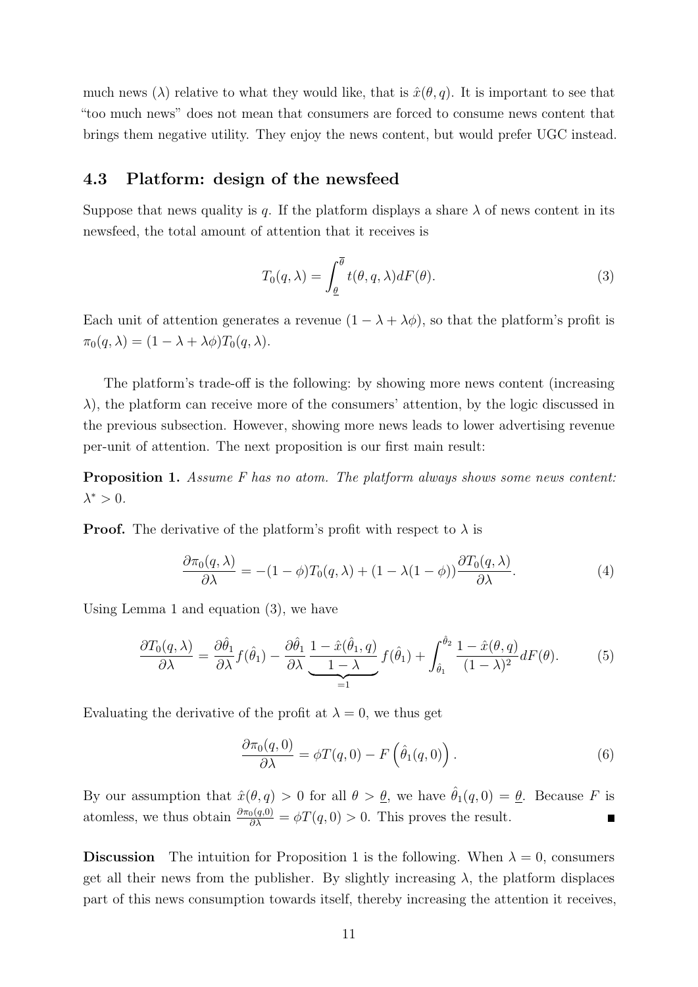much news ( $\lambda$ ) relative to what they would like, that is  $\hat{x}(\theta, q)$ . It is important to see that "too much news" does not mean that consumers are forced to consume news content that brings them negative utility. They enjoy the news content, but would prefer UGC instead.

### <span id="page-10-2"></span>4.3 Platform: design of the newsfeed

Suppose that news quality is q. If the platform displays a share  $\lambda$  of news content in its newsfeed, the total amount of attention that it receives is

<span id="page-10-0"></span>
$$
T_0(q,\lambda) = \int_{\underline{\theta}}^{\overline{\theta}} t(\theta, q, \lambda) dF(\theta).
$$
 (3)

Each unit of attention generates a revenue  $(1 - \lambda + \lambda \phi)$ , so that the platform's profit is  $\pi_0(q, \lambda) = (1 - \lambda + \lambda \phi) T_0(q, \lambda).$ 

The platform's trade-off is the following: by showing more news content (increasing  $\lambda$ ), the platform can receive more of the consumers' attention, by the logic discussed in the previous subsection. However, showing more news leads to lower advertising revenue per-unit of attention. The next proposition is our first main result:

<span id="page-10-1"></span>Proposition 1. Assume F has no atom. The platform always shows some news content:  $\lambda^* > 0$ .

**Proof.** The derivative of the platform's profit with respect to  $\lambda$  is

$$
\frac{\partial \pi_0(q,\lambda)}{\partial \lambda} = -(1-\phi)T_0(q,\lambda) + (1-\lambda(1-\phi))\frac{\partial T_0(q,\lambda)}{\partial \lambda}.
$$
\n(4)

Using Lemma [1](#page-9-0) and equation [\(3\)](#page-10-0), we have

$$
\frac{\partial T_0(q,\lambda)}{\partial \lambda} = \frac{\partial \hat{\theta}_1}{\partial \lambda} f(\hat{\theta}_1) - \frac{\partial \hat{\theta}_1}{\partial \lambda} \underbrace{\frac{1 - \hat{x}(\hat{\theta}_1, q)}{1 - \lambda}}_{=1} f(\hat{\theta}_1) + \int_{\hat{\theta}_1}^{\hat{\theta}_2} \frac{1 - \hat{x}(\theta, q)}{(1 - \lambda)^2} dF(\theta). \tag{5}
$$

Evaluating the derivative of the profit at  $\lambda = 0$ , we thus get

$$
\frac{\partial \pi_0(q,0)}{\partial \lambda} = \phi T(q,0) - F\left(\hat{\theta}_1(q,0)\right). \tag{6}
$$

By our assumption that  $\hat{x}(\theta, q) > 0$  for all  $\theta > \underline{\theta}$ , we have  $\hat{\theta}_1(q, 0) = \underline{\theta}$ . Because F is atomless, we thus obtain  $\frac{\partial \pi_0(q,0)}{\partial \lambda} = \phi T(q,0) > 0$ . This proves the result.  $\blacksquare$ 

**Discussion** The intuition for Proposition [1](#page-10-1) is the following. When  $\lambda = 0$ , consumers get all their news from the publisher. By slightly increasing  $\lambda$ , the platform displaces part of this news consumption towards itself, thereby increasing the attention it receives,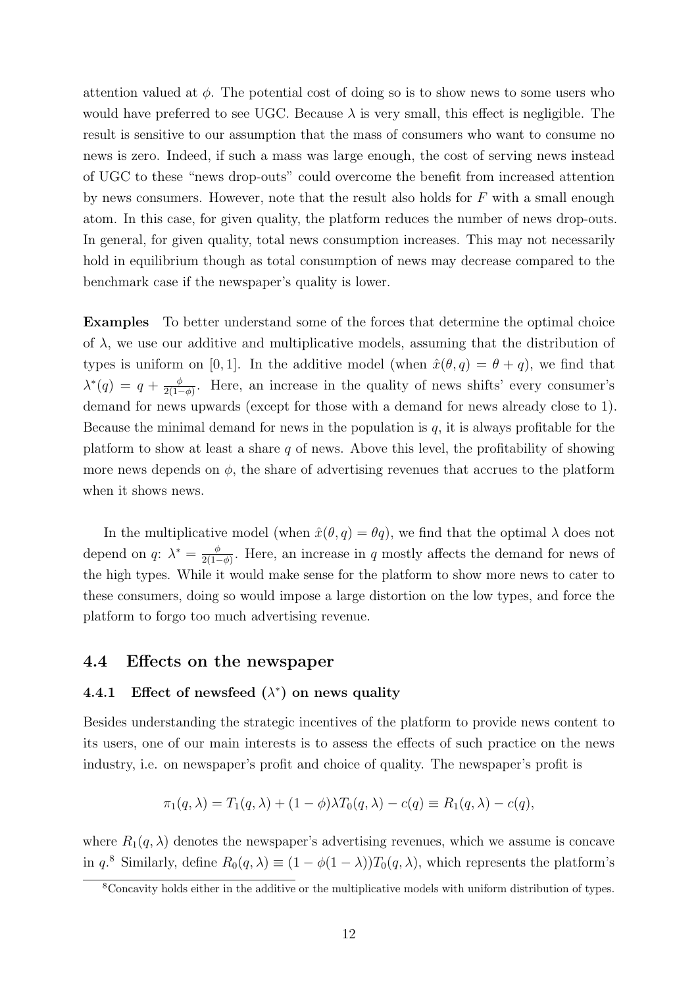attention valued at  $\phi$ . The potential cost of doing so is to show news to some users who would have preferred to see UGC. Because  $\lambda$  is very small, this effect is negligible. The result is sensitive to our assumption that the mass of consumers who want to consume no news is zero. Indeed, if such a mass was large enough, the cost of serving news instead of UGC to these "news drop-outs" could overcome the benefit from increased attention by news consumers. However, note that the result also holds for F with a small enough atom. In this case, for given quality, the platform reduces the number of news drop-outs. In general, for given quality, total news consumption increases. This may not necessarily hold in equilibrium though as total consumption of news may decrease compared to the benchmark case if the newspaper's quality is lower.

Examples To better understand some of the forces that determine the optimal choice of  $\lambda$ , we use our additive and multiplicative models, assuming that the distribution of types is uniform on [0, 1]. In the additive model (when  $\hat{x}(\theta, q) = \theta + q$ ), we find that  $\lambda^*(q) = q + \frac{\phi}{2(1-\phi)}$  $\frac{\phi}{2(1-\phi)}$ . Here, an increase in the quality of news shifts' every consumer's demand for news upwards (except for those with a demand for news already close to 1). Because the minimal demand for news in the population is  $q$ , it is always profitable for the platform to show at least a share  $q$  of news. Above this level, the profitability of showing more news depends on  $\phi$ , the share of advertising revenues that accrues to the platform when it shows news.

In the multiplicative model (when  $\hat{x}(\theta, q) = \theta q$ ), we find that the optimal  $\lambda$  does not depend on q:  $\lambda^* = \frac{\phi}{2(1-\phi)}$  $\frac{\phi}{2(1-\phi)}$ . Here, an increase in q mostly affects the demand for news of the high types. While it would make sense for the platform to show more news to cater to these consumers, doing so would impose a large distortion on the low types, and force the platform to forgo too much advertising revenue.

#### 4.4 Effects on the newspaper

#### 4.4.1 Effect of newsfeed  $(\lambda^*)$  on news quality

Besides understanding the strategic incentives of the platform to provide news content to its users, one of our main interests is to assess the effects of such practice on the news industry, i.e. on newspaper's profit and choice of quality. The newspaper's profit is

$$
\pi_1(q,\lambda) = T_1(q,\lambda) + (1-\phi)\lambda T_0(q,\lambda) - c(q) \equiv R_1(q,\lambda) - c(q),
$$

where  $R_1(q, \lambda)$  denotes the newspaper's advertising revenues, which we assume is concave in  $q^8$ . Similarly, define  $R_0(q,\lambda) \equiv (1 - \phi(1-\lambda))T_0(q,\lambda)$ , which represents the platform's

<sup>8</sup>Concavity holds either in the additive or the multiplicative models with uniform distribution of types.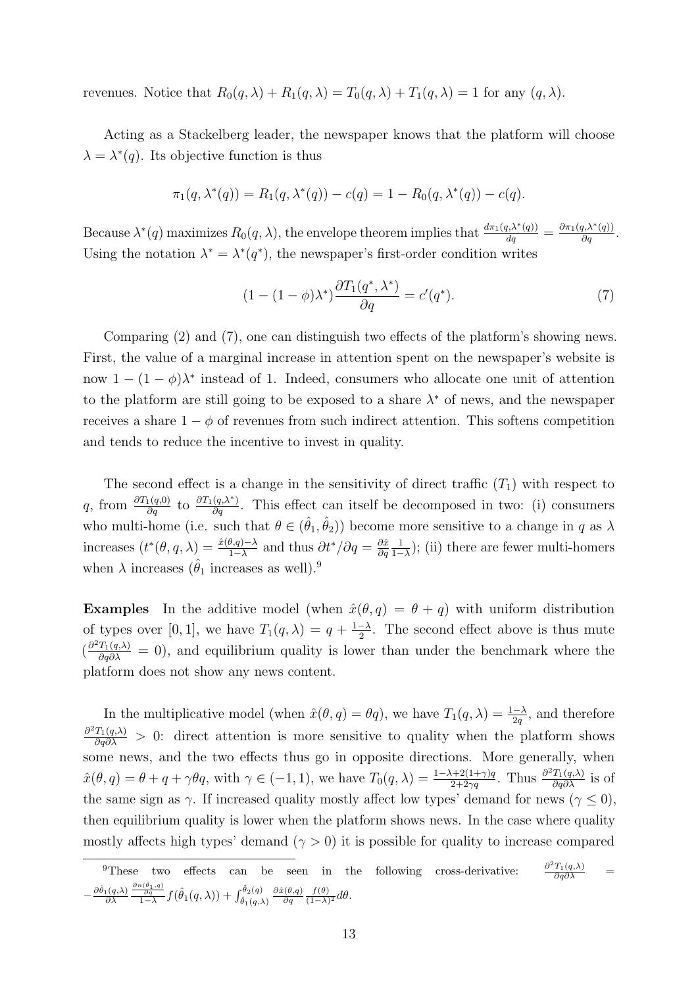revenues. Notice that  $R_0(q, \lambda) + R_1(q, \lambda) = T_0(q, \lambda) + T_1(q, \lambda) = 1$  for any  $(q, \lambda)$ .

Acting as a Stackelberg leader, the newspaper knows that the platform will choose  $\lambda = \lambda^*(q)$ . Its objective function is thus

$$
\pi_1(q, \lambda^*(q)) = R_1(q, \lambda^*(q)) - c(q) = 1 - R_0(q, \lambda^*(q)) - c(q).
$$

Because  $\lambda^*(q)$  maximizes  $R_0(q,\lambda)$ , the envelope theorem implies that  $\frac{d\pi_1(q,\lambda^*(q))}{dq} = \frac{\partial \pi_1(q,\lambda^*(q))}{\partial q}$ . Using the notation  $\lambda^* = \lambda^*(q^*)$ , the newspaper's first-order condition writes

<span id="page-12-0"></span>
$$
(1 - (1 - \phi)\lambda^*)\frac{\partial T_1(q^*, \lambda^*)}{\partial q} = c'(q^*).
$$
\n<sup>(7)</sup>

Comparing [\(2\)](#page-8-0) and [\(7\)](#page-12-0), one can distinguish two effects of the platform's showing news. First, the value of a marginal increase in attention spent on the newspaper's website is now  $1 - (1 - \phi)\lambda^*$  instead of 1. Indeed, consumers who allocate one unit of attention to the platform are still going to be exposed to a share  $\lambda^*$  of news, and the newspaper receives a share  $1 - \phi$  of revenues from such indirect attention. This softens competition and tends to reduce the incentive to invest in quality.

The second effect is a change in the sensitivity of direct traffic  $(T_1)$  with respect to q, from  $\frac{\partial T_1(q,0)}{\partial q}$  to  $\frac{\partial T_1(q,\lambda^*)}{\partial q}$ . This effect can itself be decomposed in two: (i) consumers who multi-home (i.e. such that  $\theta \in (\hat{\theta}_1, \hat{\theta}_2)$ ) become more sensitive to a change in q as  $\lambda$ increases  $(t^*(\theta, q, \lambda)) = \frac{\hat{x}(\theta, q) - \lambda}{1 - \lambda}$  and thus  $\partial t^*/\partial q = \frac{\partial \hat{x}}{\partial q}$  $\partial q$ 1  $\frac{1}{1-\lambda}$ ); (ii) there are fewer multi-homers when  $\lambda$  increases ( $\hat{\theta}_1$  increases as well).<sup>9</sup>

**Examples** In the additive model (when  $\hat{x}(\theta, q) = \theta + q$ ) with uniform distribution of types over [0, 1], we have  $T_1(q,\lambda) = q + \frac{1-\lambda}{2}$  $\frac{-\lambda}{2}$ . The second effect above is thus mute  $\left(\frac{\partial^2 T_1(q,\lambda)}{\partial q\partial \lambda}\right)^2 = 0$ , and equilibrium quality is lower than under the benchmark where the platform does not show any news content.

In the multiplicative model (when  $\hat{x}(\theta, q) = \theta q$ ), we have  $T_1(q, \lambda) = \frac{1-\lambda}{2q}$ , and therefore  $\frac{\partial^2 T_1(q,\lambda)}{\partial q\partial \lambda} > 0$ : direct attention is more sensitive to quality when the platform shows some news, and the two effects thus go in opposite directions. More generally, when  $\hat{x}(\theta, q) = \theta + q + \gamma \theta q$ , with  $\gamma \in (-1, 1)$ , we have  $T_0(q, \lambda) = \frac{1 - \lambda + 2(1 + \gamma)q}{2 + 2\gamma q}$ . Thus  $\frac{\partial^2 T_1(q, \lambda)}{\partial q \partial \lambda}$  is of the same sign as  $\gamma$ . If increased quality mostly affect low types' demand for news ( $\gamma \leq 0$ ), then equilibrium quality is lower when the platform shows news. In the case where quality mostly affects high types' demand  $(\gamma > 0)$  it is possible for quality to increase compared

<sup>&</sup>lt;sup>9</sup>These two effects can be seen in the following cross-derivative:  $rac{^{2}T_{1}(q,\lambda)}{\partial q\partial\lambda}$  =  $-\frac{\partial \hat{\theta}_1(q,\lambda)}{\partial \lambda}$  $\frac{\frac{\partial n(\hat{\theta}_1, q)}{\partial q}}{1-\lambda} f(\hat{\theta}_1(q, \lambda)) + \int_{\hat{\theta}_1(q, \lambda)}^{\hat{\theta}_2(q)} \frac{\partial \hat{x}(\theta, q)}{\partial q}$ ∂q  $f(\theta)$  $\frac{J(\theta)}{(1-\lambda)^2}d\theta.$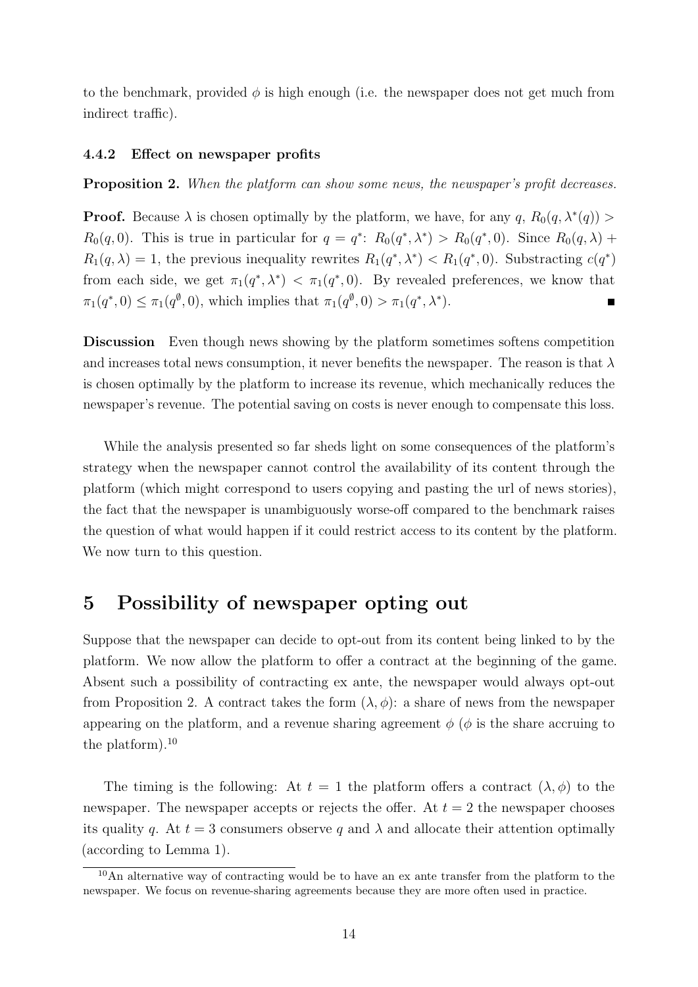to the benchmark, provided  $\phi$  is high enough (i.e. the newspaper does not get much from indirect traffic).

#### 4.4.2 Effect on newspaper profits

<span id="page-13-0"></span>Proposition 2. When the platform can show some news, the newspaper's profit decreases.

**Proof.** Because  $\lambda$  is chosen optimally by the platform, we have, for any q,  $R_0(q, \lambda^*(q))$  $R_0(q,0)$ . This is true in particular for  $q = q^*$ :  $R_0(q^*, \lambda^*) > R_0(q^*, 0)$ . Since  $R_0(q, \lambda)$  +  $R_1(q,\lambda) = 1$ , the previous inequality rewrites  $R_1(q^*,\lambda^*) < R_1(q^*,0)$ . Substracting  $c(q^*)$ from each side, we get  $\pi_1(q^*, \lambda^*) < \pi_1(q^*, 0)$ . By revealed preferences, we know that  $\pi_1(q^*,0) \leq \pi_1(q^{\emptyset},0)$ , which implies that  $\pi_1(q^{\emptyset},0) > \pi_1(q^*,\lambda^*)$ .

Discussion Even though news showing by the platform sometimes softens competition and increases total news consumption, it never benefits the newspaper. The reason is that  $\lambda$ is chosen optimally by the platform to increase its revenue, which mechanically reduces the newspaper's revenue. The potential saving on costs is never enough to compensate this loss.

While the analysis presented so far sheds light on some consequences of the platform's strategy when the newspaper cannot control the availability of its content through the platform (which might correspond to users copying and pasting the url of news stories), the fact that the newspaper is unambiguously worse-off compared to the benchmark raises the question of what would happen if it could restrict access to its content by the platform. We now turn to this question.

### 5 Possibility of newspaper opting out

Suppose that the newspaper can decide to opt-out from its content being linked to by the platform. We now allow the platform to offer a contract at the beginning of the game. Absent such a possibility of contracting ex ante, the newspaper would always opt-out from Proposition [2.](#page-13-0) A contract takes the form  $(\lambda, \phi)$ : a share of news from the newspaper appearing on the platform, and a revenue sharing agreement  $\phi$  ( $\phi$  is the share accruing to the platform).<sup>10</sup>

The timing is the following: At  $t = 1$  the platform offers a contract  $(\lambda, \phi)$  to the newspaper. The newspaper accepts or rejects the offer. At  $t = 2$  the newspaper chooses its quality q. At  $t = 3$  consumers observe q and  $\lambda$  and allocate their attention optimally (according to Lemma [1\)](#page-9-0).

<sup>&</sup>lt;sup>10</sup>An alternative way of contracting would be to have an ex ante transfer from the platform to the newspaper. We focus on revenue-sharing agreements because they are more often used in practice.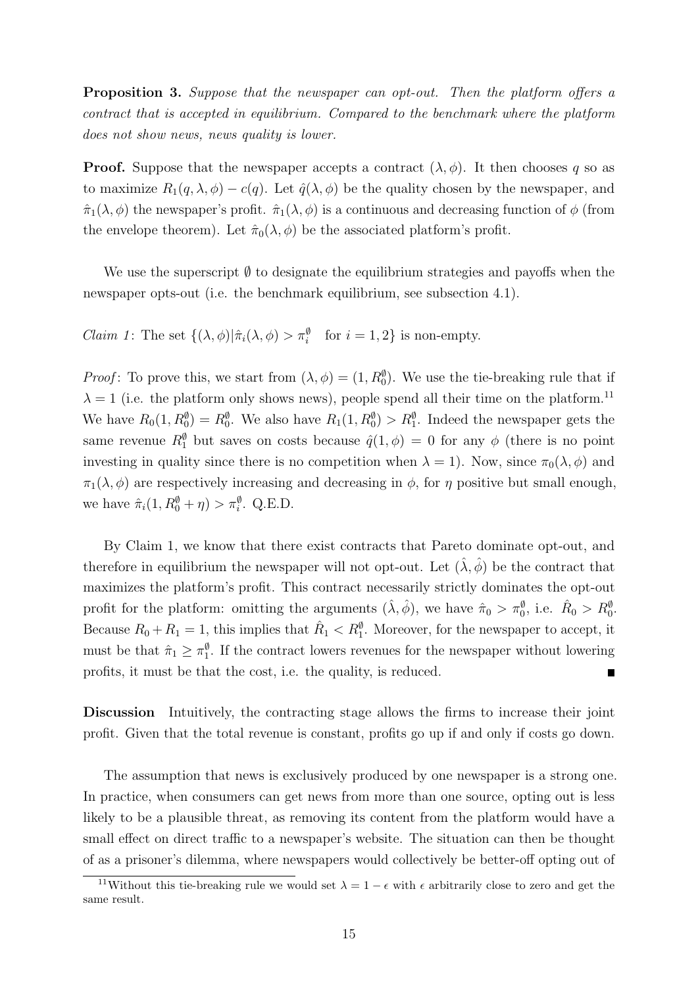Proposition 3. Suppose that the newspaper can opt-out. Then the platform offers a contract that is accepted in equilibrium. Compared to the benchmark where the platform does not show news, news quality is lower.

**Proof.** Suppose that the newspaper accepts a contract  $(\lambda, \phi)$ . It then chooses q so as to maximize  $R_1(q, \lambda, \phi) - c(q)$ . Let  $\hat{q}(\lambda, \phi)$  be the quality chosen by the newspaper, and  $\hat{\pi}_1(\lambda, \phi)$  the newspaper's profit.  $\hat{\pi}_1(\lambda, \phi)$  is a continuous and decreasing function of  $\phi$  (from the envelope theorem). Let  $\hat{\pi}_0(\lambda, \phi)$  be the associated platform's profit.

We use the superscript  $\emptyset$  to designate the equilibrium strategies and payoffs when the newspaper opts-out (i.e. the benchmark equilibrium, see subsection [4.1\)](#page-8-1).

*Claim 1*: The set  $\{(\lambda, \phi)|\hat{\pi}_i(\lambda, \phi) > \pi_i^{\emptyset}$  for  $i = 1, 2\}$  is non-empty.

*Proof*: To prove this, we start from  $(\lambda, \phi) = (1, R_0^{\phi})$ . We use the tie-breaking rule that if  $\lambda = 1$  (i.e. the platform only shows news), people spend all their time on the platform.<sup>11</sup> We have  $R_0(1, R_0^{\emptyset}) = R_0^{\emptyset}$ . We also have  $R_1(1, R_0^{\emptyset}) > R_1^{\emptyset}$ . Indeed the newspaper gets the same revenue  $R_1^{\emptyset}$  but saves on costs because  $\hat{q}(1,\phi) = 0$  for any  $\phi$  (there is no point investing in quality since there is no competition when  $\lambda = 1$ ). Now, since  $\pi_0(\lambda, \phi)$  and  $\pi_1(\lambda, \phi)$  are respectively increasing and decreasing in  $\phi$ , for  $\eta$  positive but small enough, we have  $\hat{\pi}_i(1, R_0^{\emptyset} + \eta) > \pi_i^{\emptyset}$ . Q.E.D.

By Claim 1, we know that there exist contracts that Pareto dominate opt-out, and therefore in equilibrium the newspaper will not opt-out. Let  $(\hat{\lambda}, \hat{\phi})$  be the contract that maximizes the platform's profit. This contract necessarily strictly dominates the opt-out profit for the platform: omitting the arguments  $(\hat{\lambda}, \hat{\phi})$ , we have  $\hat{\pi}_0 > \pi_0^{\emptyset}$ , i.e.  $\hat{R}_0 > R_0^{\emptyset}$ . Because  $R_0 + R_1 = 1$ , this implies that  $\hat{R}_1 < R_1^{\emptyset}$ . Moreover, for the newspaper to accept, it must be that  $\hat{\pi}_1 \geq \pi_1^{\emptyset}$ . If the contract lowers revenues for the newspaper without lowering profits, it must be that the cost, i.e. the quality, is reduced.  $\blacksquare$ 

Discussion Intuitively, the contracting stage allows the firms to increase their joint profit. Given that the total revenue is constant, profits go up if and only if costs go down.

The assumption that news is exclusively produced by one newspaper is a strong one. In practice, when consumers can get news from more than one source, opting out is less likely to be a plausible threat, as removing its content from the platform would have a small effect on direct traffic to a newspaper's website. The situation can then be thought of as a prisoner's dilemma, where newspapers would collectively be better-off opting out of

<sup>&</sup>lt;sup>11</sup>Without this tie-breaking rule we would set  $\lambda = 1 - \epsilon$  with  $\epsilon$  arbitrarily close to zero and get the same result.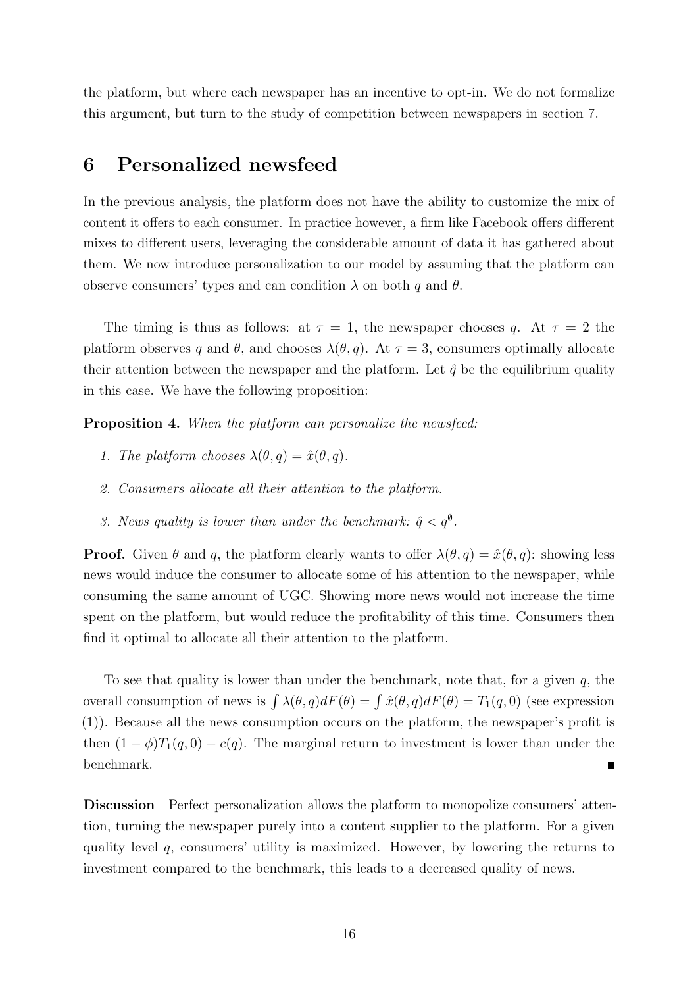the platform, but where each newspaper has an incentive to opt-in. We do not formalize this argument, but turn to the study of competition between newspapers in section [7.](#page-16-0)

## 6 Personalized newsfeed

In the previous analysis, the platform does not have the ability to customize the mix of content it offers to each consumer. In practice however, a firm like Facebook offers different mixes to different users, leveraging the considerable amount of data it has gathered about them. We now introduce personalization to our model by assuming that the platform can observe consumers' types and can condition  $\lambda$  on both q and  $\theta$ .

The timing is thus as follows: at  $\tau = 1$ , the newspaper chooses q. At  $\tau = 2$  the platform observes q and  $\theta$ , and chooses  $\lambda(\theta, q)$ . At  $\tau = 3$ , consumers optimally allocate their attention between the newspaper and the platform. Let  $\hat{q}$  be the equilibrium quality in this case. We have the following proposition:

Proposition 4. When the platform can personalize the newsfeed:

- 1. The platform chooses  $\lambda(\theta, q) = \hat{x}(\theta, q)$ .
- 2. Consumers allocate all their attention to the platform.
- 3. News quality is lower than under the benchmark:  $\hat{q} < q^{\emptyset}$ .

**Proof.** Given  $\theta$  and  $q$ , the platform clearly wants to offer  $\lambda(\theta, q) = \hat{x}(\theta, q)$ : showing less news would induce the consumer to allocate some of his attention to the newspaper, while consuming the same amount of UGC. Showing more news would not increase the time spent on the platform, but would reduce the profitability of this time. Consumers then find it optimal to allocate all their attention to the platform.

To see that quality is lower than under the benchmark, note that, for a given  $q$ , the overall consumption of news is  $\int \lambda(\theta, q)dF(\theta) = \int \hat{x}(\theta, q)dF(\theta) = T_1(q, 0)$  (see expression [\(1\)](#page-8-2)). Because all the news consumption occurs on the platform, the newspaper's profit is then  $(1 - \phi)T_1(q, 0) - c(q)$ . The marginal return to investment is lower than under the benchmark.  $\blacksquare$ 

Discussion Perfect personalization allows the platform to monopolize consumers' attention, turning the newspaper purely into a content supplier to the platform. For a given quality level  $q$ , consumers' utility is maximized. However, by lowering the returns to investment compared to the benchmark, this leads to a decreased quality of news.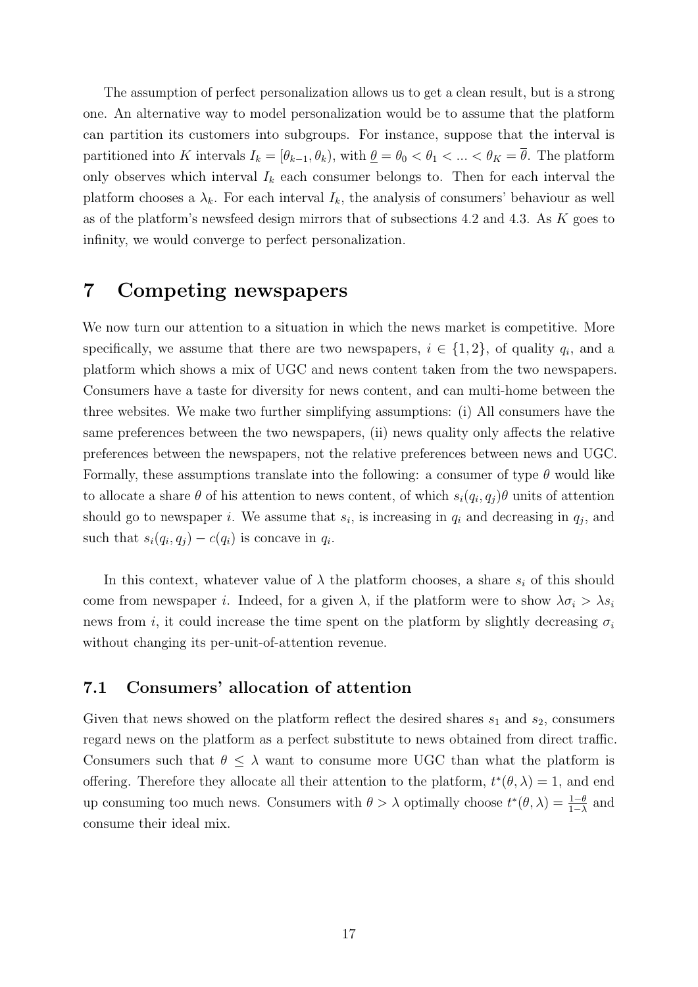The assumption of perfect personalization allows us to get a clean result, but is a strong one. An alternative way to model personalization would be to assume that the platform can partition its customers into subgroups. For instance, suppose that the interval is partitioned into K intervals  $I_k = [\theta_{k-1}, \theta_k)$ , with  $\underline{\theta} = \theta_0 < \theta_1 < \dots < \theta_K = \overline{\theta}$ . The platform only observes which interval  $I_k$  each consumer belongs to. Then for each interval the platform chooses a  $\lambda_k$ . For each interval  $I_k$ , the analysis of consumers' behaviour as well as of the platform's newsfeed design mirrors that of subsections [4.2](#page-9-1) and [4.3.](#page-10-2) As K goes to infinity, we would converge to perfect personalization.

## <span id="page-16-0"></span>7 Competing newspapers

We now turn our attention to a situation in which the news market is competitive. More specifically, we assume that there are two newspapers,  $i \in \{1,2\}$ , of quality  $q_i$ , and a platform which shows a mix of UGC and news content taken from the two newspapers. Consumers have a taste for diversity for news content, and can multi-home between the three websites. We make two further simplifying assumptions: (i) All consumers have the same preferences between the two newspapers, (ii) news quality only affects the relative preferences between the newspapers, not the relative preferences between news and UGC. Formally, these assumptions translate into the following: a consumer of type  $\theta$  would like to allocate a share  $\theta$  of his attention to news content, of which  $s_i(q_i, q_j)\theta$  units of attention should go to newspaper *i*. We assume that  $s_i$ , is increasing in  $q_i$  and decreasing in  $q_j$ , and such that  $s_i(q_i, q_j) - c(q_i)$  is concave in  $q_i$ .

In this context, whatever value of  $\lambda$  the platform chooses, a share  $s_i$  of this should come from newspaper *i*. Indeed, for a given  $\lambda$ , if the platform were to show  $\lambda \sigma_i > \lambda s_i$ news from i, it could increase the time spent on the platform by slightly decreasing  $\sigma_i$ without changing its per-unit-of-attention revenue.

#### 7.1 Consumers' allocation of attention

Given that news showed on the platform reflect the desired shares  $s_1$  and  $s_2$ , consumers regard news on the platform as a perfect substitute to news obtained from direct traffic. Consumers such that  $\theta \leq \lambda$  want to consume more UGC than what the platform is offering. Therefore they allocate all their attention to the platform,  $t^*(\theta, \lambda) = 1$ , and end up consuming too much news. Consumers with  $\theta > \lambda$  optimally choose  $t^*(\theta, \lambda) = \frac{1-\theta}{1-\lambda}$  and consume their ideal mix.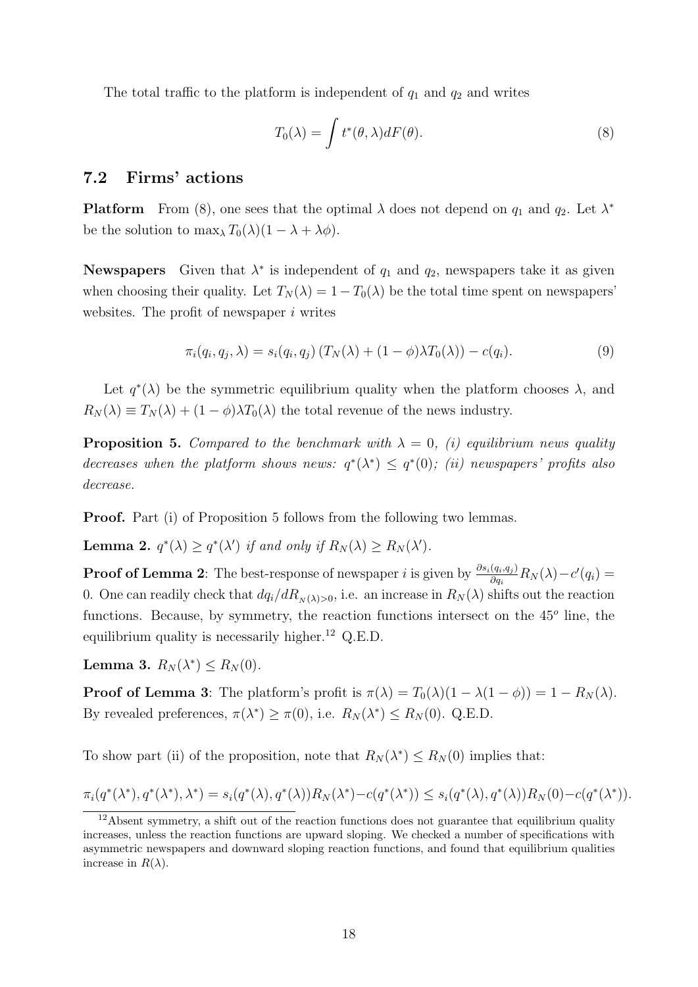The total traffic to the platform is independent of  $q_1$  and  $q_2$  and writes

<span id="page-17-0"></span>
$$
T_0(\lambda) = \int t^*(\theta, \lambda) dF(\theta).
$$
 (8)

### 7.2 Firms' actions

**Platform** From [\(8\)](#page-17-0), one sees that the optimal  $\lambda$  does not depend on  $q_1$  and  $q_2$ . Let  $\lambda^*$ be the solution to  $\max_{\lambda} T_0(\lambda)(1 - \lambda + \lambda \phi)$ .

**Newspapers** Given that  $\lambda^*$  is independent of  $q_1$  and  $q_2$ , newspapers take it as given when choosing their quality. Let  $T_N(\lambda) = 1 - T_0(\lambda)$  be the total time spent on newspapers' websites. The profit of newspaper  $i$  writes

$$
\pi_i(q_i, q_j, \lambda) = s_i(q_i, q_j) \left( T_N(\lambda) + (1 - \phi) \lambda T_0(\lambda) \right) - c(q_i). \tag{9}
$$

Let  $q^*(\lambda)$  be the symmetric equilibrium quality when the platform chooses  $\lambda$ , and  $R_N(\lambda) \equiv T_N(\lambda) + (1 - \phi)\lambda T_0(\lambda)$  the total revenue of the news industry.

<span id="page-17-1"></span>**Proposition 5.** Compared to the benchmark with  $\lambda = 0$ , (i) equilibrium news quality decreases when the platform shows news:  $q^*(\lambda^*) \leq q^*(0)$ ; (ii) newspapers' profits also decrease.

**Proof.** Part (i) of Proposition [5](#page-17-1) follows from the following two lemmas.

<span id="page-17-2"></span>**Lemma 2.**  $q^*(\lambda) \ge q^*(\lambda')$  if and only if  $R_N(\lambda) \ge R_N(\lambda')$ .

**Proof of Lemma [2](#page-17-2)**: The best-response of newspaper *i* is given by  $\frac{\partial s_i(q_i, q_j)}{\partial q_i}R_N(\lambda) - c'(q_i) =$ 0. One can readily check that  $dq_i/dR_{N(\lambda)>0}$ , i.e. an increase in  $R_N(\lambda)$  shifts out the reaction functions. Because, by symmetry, the reaction functions intersect on the  $45^{\circ}$  line, the equilibrium quality is necessarily higher.<sup>12</sup> Q.E.D.

<span id="page-17-3"></span>Lemma 3.  $R_N(\lambda^*) \leq R_N(0)$ .

**Proof of Lemma [3](#page-17-3):** The platform's profit is  $\pi(\lambda) = T_0(\lambda)(1 - \lambda(1 - \phi)) = 1 - R_N(\lambda)$ . By revealed preferences,  $\pi(\lambda^*) \geq \pi(0)$ , i.e.  $R_N(\lambda^*) \leq R_N(0)$ . Q.E.D.

To show part (ii) of the proposition, note that  $R_N(\lambda^*) \leq R_N(0)$  implies that:

$$
\pi_i(q^*(\lambda^*), q^*(\lambda^*), \lambda^*) = s_i(q^*(\lambda), q^*(\lambda))R_N(\lambda^*) - c(q^*(\lambda^*)) \leq s_i(q^*(\lambda), q^*(\lambda))R_N(0) - c(q^*(\lambda^*)).
$$

 $12A$ bsent symmetry, a shift out of the reaction functions does not guarantee that equilibrium quality increases, unless the reaction functions are upward sloping. We checked a number of specifications with asymmetric newspapers and downward sloping reaction functions, and found that equilibrium qualities increase in  $R(\lambda)$ .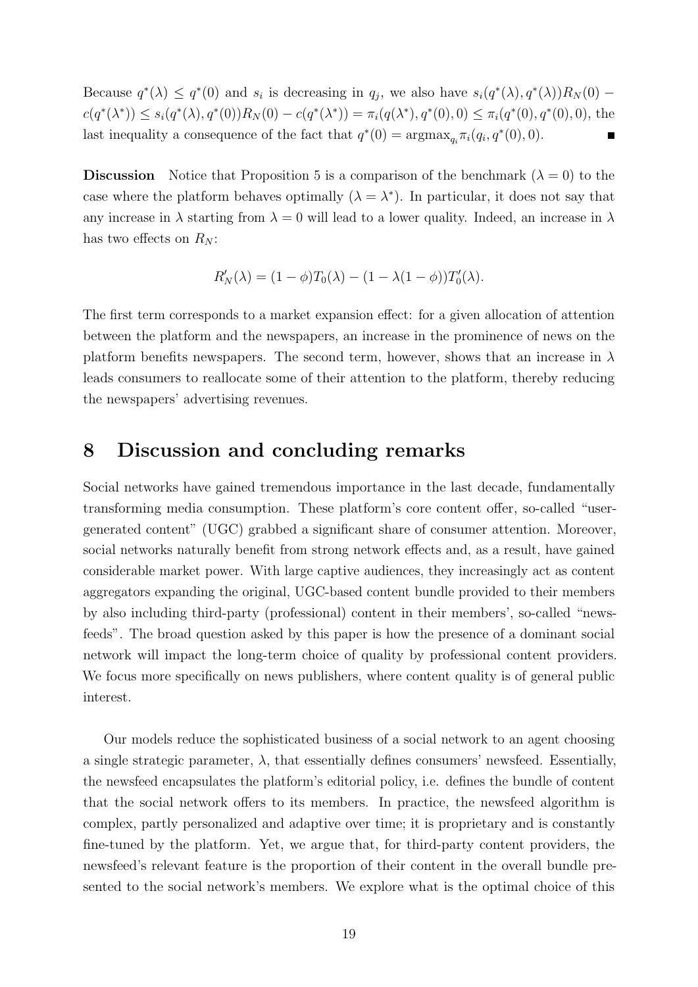Because  $q^*(\lambda) \leq q^*(0)$  and  $s_i$  is decreasing in  $q_j$ , we also have  $s_i(q^*(\lambda), q^*(\lambda))R_N(0)$  –  $c(q^*(\lambda^*)) \leq s_i(q^*(\lambda), q^*(0))R_N(0) - c(q^*(\lambda^*)) = \pi_i(q(\lambda^*), q^*(0), 0) \leq \pi_i(q^*(0), q^*(0), 0)$ , the last inequality a consequence of the fact that  $q^*(0) = \operatorname{argmax}_{q_i} \pi_i(q_i, q^*(0), 0)$ .

**Discussion** Notice that Proposition [5](#page-17-1) is a comparison of the benchmark  $(\lambda = 0)$  to the case where the platform behaves optimally  $(\lambda = \lambda^*)$ . In particular, it does not say that any increase in  $\lambda$  starting from  $\lambda = 0$  will lead to a lower quality. Indeed, an increase in  $\lambda$ has two effects on  $R_N$ :

$$
R'_{N}(\lambda) = (1 - \phi)T_{0}(\lambda) - (1 - \lambda(1 - \phi))T'_{0}(\lambda).
$$

The first term corresponds to a market expansion effect: for a given allocation of attention between the platform and the newspapers, an increase in the prominence of news on the platform benefits newspapers. The second term, however, shows that an increase in  $\lambda$ leads consumers to reallocate some of their attention to the platform, thereby reducing the newspapers' advertising revenues.

### 8 Discussion and concluding remarks

Social networks have gained tremendous importance in the last decade, fundamentally transforming media consumption. These platform's core content offer, so-called "usergenerated content" (UGC) grabbed a significant share of consumer attention. Moreover, social networks naturally benefit from strong network effects and, as a result, have gained considerable market power. With large captive audiences, they increasingly act as content aggregators expanding the original, UGC-based content bundle provided to their members by also including third-party (professional) content in their members', so-called "newsfeeds". The broad question asked by this paper is how the presence of a dominant social network will impact the long-term choice of quality by professional content providers. We focus more specifically on news publishers, where content quality is of general public interest.

Our models reduce the sophisticated business of a social network to an agent choosing a single strategic parameter,  $\lambda$ , that essentially defines consumers' newsfeed. Essentially, the newsfeed encapsulates the platform's editorial policy, i.e. defines the bundle of content that the social network offers to its members. In practice, the newsfeed algorithm is complex, partly personalized and adaptive over time; it is proprietary and is constantly fine-tuned by the platform. Yet, we argue that, for third-party content providers, the newsfeed's relevant feature is the proportion of their content in the overall bundle presented to the social network's members. We explore what is the optimal choice of this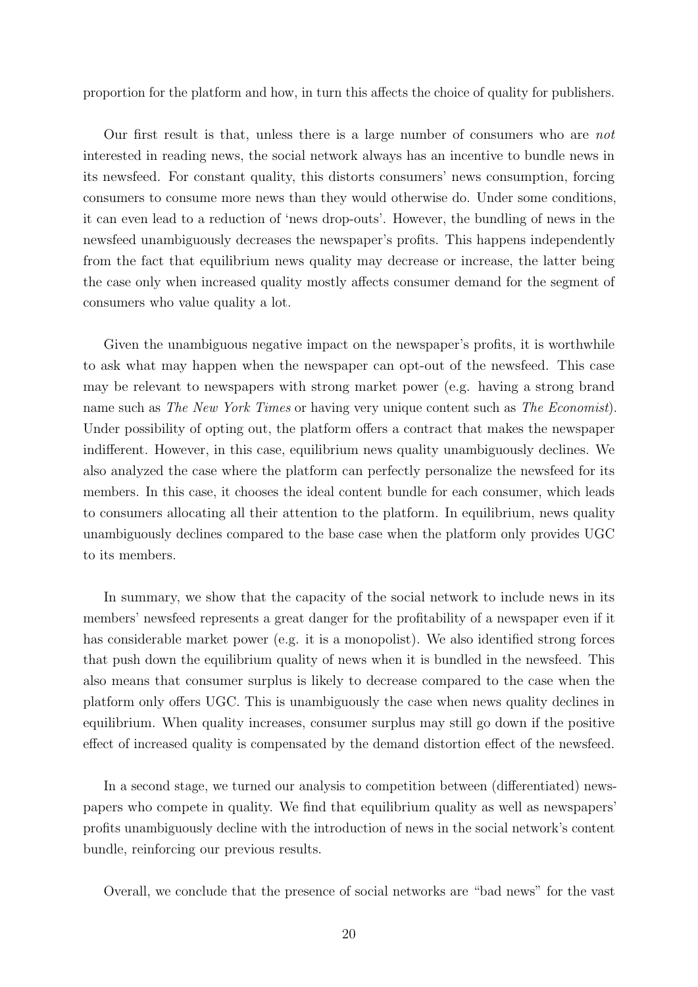proportion for the platform and how, in turn this affects the choice of quality for publishers.

Our first result is that, unless there is a large number of consumers who are not interested in reading news, the social network always has an incentive to bundle news in its newsfeed. For constant quality, this distorts consumers' news consumption, forcing consumers to consume more news than they would otherwise do. Under some conditions, it can even lead to a reduction of 'news drop-outs'. However, the bundling of news in the newsfeed unambiguously decreases the newspaper's profits. This happens independently from the fact that equilibrium news quality may decrease or increase, the latter being the case only when increased quality mostly affects consumer demand for the segment of consumers who value quality a lot.

Given the unambiguous negative impact on the newspaper's profits, it is worthwhile to ask what may happen when the newspaper can opt-out of the newsfeed. This case may be relevant to newspapers with strong market power (e.g. having a strong brand name such as The New York Times or having very unique content such as The Economist). Under possibility of opting out, the platform offers a contract that makes the newspaper indifferent. However, in this case, equilibrium news quality unambiguously declines. We also analyzed the case where the platform can perfectly personalize the newsfeed for its members. In this case, it chooses the ideal content bundle for each consumer, which leads to consumers allocating all their attention to the platform. In equilibrium, news quality unambiguously declines compared to the base case when the platform only provides UGC to its members.

In summary, we show that the capacity of the social network to include news in its members' newsfeed represents a great danger for the profitability of a newspaper even if it has considerable market power (e.g. it is a monopolist). We also identified strong forces that push down the equilibrium quality of news when it is bundled in the newsfeed. This also means that consumer surplus is likely to decrease compared to the case when the platform only offers UGC. This is unambiguously the case when news quality declines in equilibrium. When quality increases, consumer surplus may still go down if the positive effect of increased quality is compensated by the demand distortion effect of the newsfeed.

In a second stage, we turned our analysis to competition between (differentiated) newspapers who compete in quality. We find that equilibrium quality as well as newspapers' profits unambiguously decline with the introduction of news in the social network's content bundle, reinforcing our previous results.

Overall, we conclude that the presence of social networks are "bad news" for the vast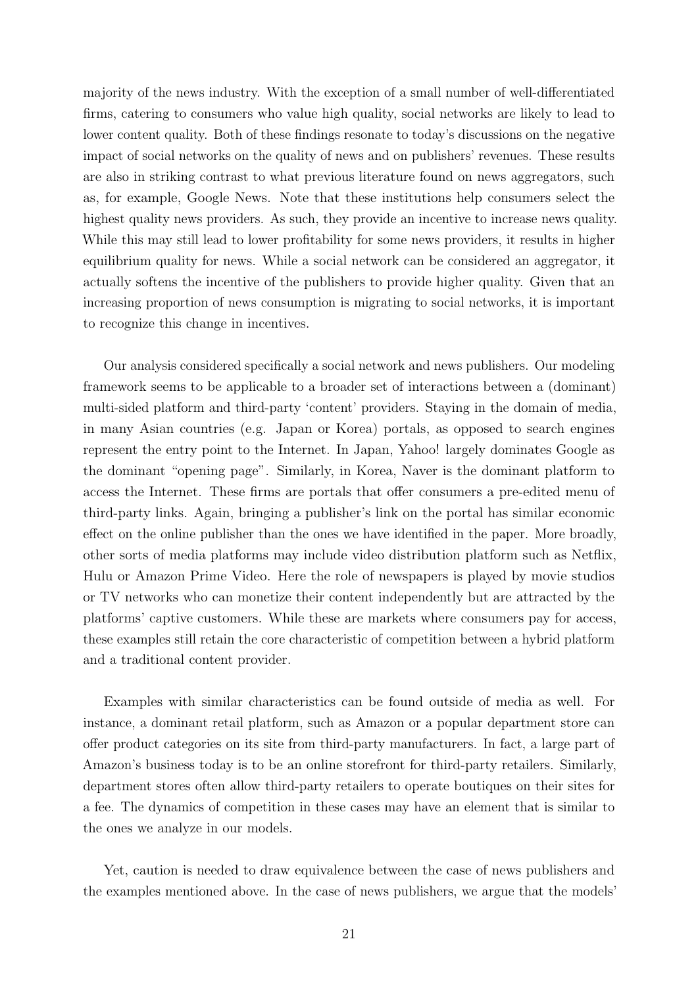majority of the news industry. With the exception of a small number of well-differentiated firms, catering to consumers who value high quality, social networks are likely to lead to lower content quality. Both of these findings resonate to today's discussions on the negative impact of social networks on the quality of news and on publishers' revenues. These results are also in striking contrast to what previous literature found on news aggregators, such as, for example, Google News. Note that these institutions help consumers select the highest quality news providers. As such, they provide an incentive to increase news quality. While this may still lead to lower profitability for some news providers, it results in higher equilibrium quality for news. While a social network can be considered an aggregator, it actually softens the incentive of the publishers to provide higher quality. Given that an increasing proportion of news consumption is migrating to social networks, it is important to recognize this change in incentives.

Our analysis considered specifically a social network and news publishers. Our modeling framework seems to be applicable to a broader set of interactions between a (dominant) multi-sided platform and third-party 'content' providers. Staying in the domain of media, in many Asian countries (e.g. Japan or Korea) portals, as opposed to search engines represent the entry point to the Internet. In Japan, Yahoo! largely dominates Google as the dominant "opening page". Similarly, in Korea, Naver is the dominant platform to access the Internet. These firms are portals that offer consumers a pre-edited menu of third-party links. Again, bringing a publisher's link on the portal has similar economic effect on the online publisher than the ones we have identified in the paper. More broadly, other sorts of media platforms may include video distribution platform such as Netflix, Hulu or Amazon Prime Video. Here the role of newspapers is played by movie studios or TV networks who can monetize their content independently but are attracted by the platforms' captive customers. While these are markets where consumers pay for access, these examples still retain the core characteristic of competition between a hybrid platform and a traditional content provider.

Examples with similar characteristics can be found outside of media as well. For instance, a dominant retail platform, such as Amazon or a popular department store can offer product categories on its site from third-party manufacturers. In fact, a large part of Amazon's business today is to be an online storefront for third-party retailers. Similarly, department stores often allow third-party retailers to operate boutiques on their sites for a fee. The dynamics of competition in these cases may have an element that is similar to the ones we analyze in our models.

Yet, caution is needed to draw equivalence between the case of news publishers and the examples mentioned above. In the case of news publishers, we argue that the models'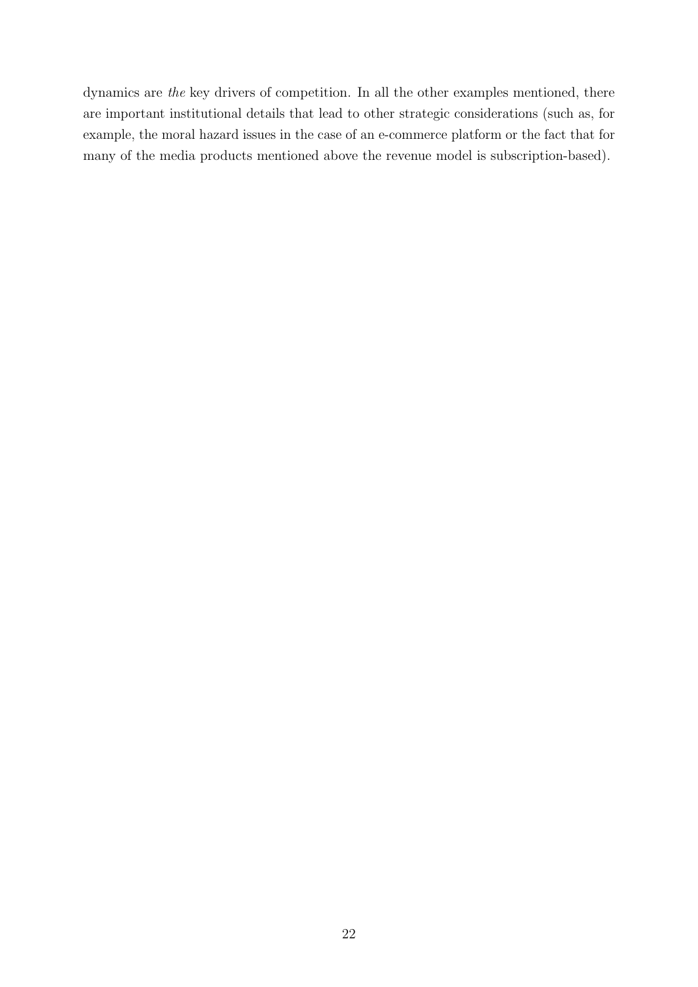dynamics are the key drivers of competition. In all the other examples mentioned, there are important institutional details that lead to other strategic considerations (such as, for example, the moral hazard issues in the case of an e-commerce platform or the fact that for many of the media products mentioned above the revenue model is subscription-based).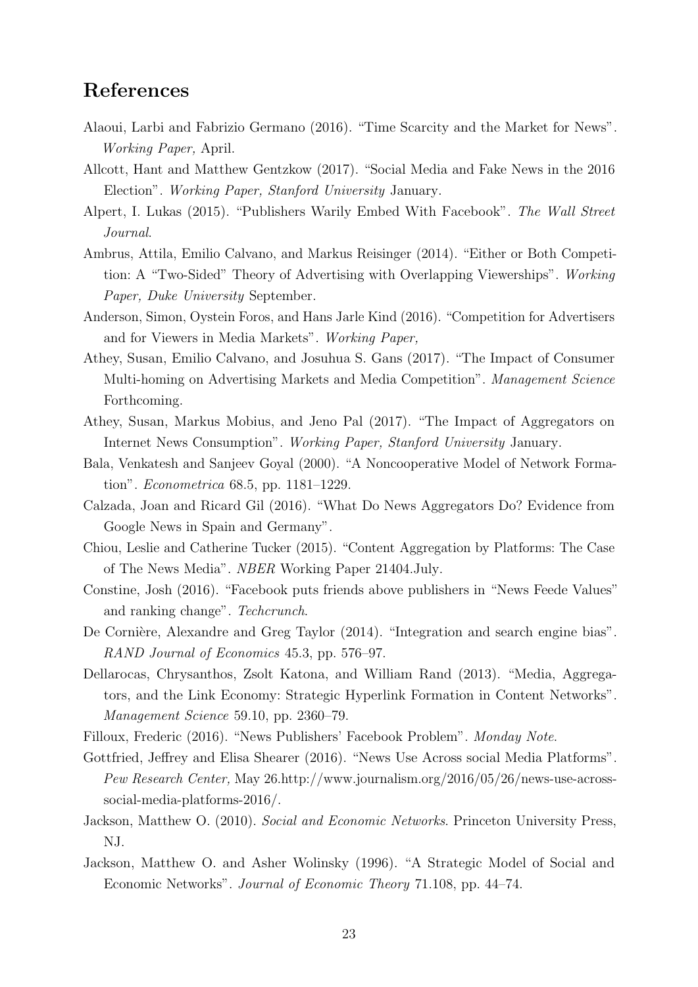## References

- <span id="page-22-16"></span>Alaoui, Larbi and Fabrizio Germano (2016). "Time Scarcity and the Market for News". Working Paper, April.
- <span id="page-22-1"></span>Allcott, Hant and Matthew Gentzkow (2017). "Social Media and Fake News in the 2016 Election". Working Paper, Stanford University January.
- <span id="page-22-2"></span>Alpert, I. Lukas (2015). "Publishers Warily Embed With Facebook". The Wall Street Journal.
- <span id="page-22-13"></span>Ambrus, Attila, Emilio Calvano, and Markus Reisinger (2014). "Either or Both Competition: A "Two-Sided" Theory of Advertising with Overlapping Viewerships". Working Paper, Duke University September.
- <span id="page-22-15"></span>Anderson, Simon, Oystein Foros, and Hans Jarle Kind (2016). "Competition for Advertisers and for Viewers in Media Markets". Working Paper,
- <span id="page-22-14"></span>Athey, Susan, Emilio Calvano, and Josuhua S. Gans (2017). "The Impact of Consumer Multi-homing on Advertising Markets and Media Competition". Management Science Forthcoming.
- <span id="page-22-6"></span>Athey, Susan, Markus Mobius, and Jeno Pal (2017). "The Impact of Aggregators on Internet News Consumption". Working Paper, Stanford University January.
- <span id="page-22-10"></span>Bala, Venkatesh and Sanjeev Goyal (2000). "A Noncooperative Model of Network Formation". Econometrica 68.5, pp. 1181–1229.
- <span id="page-22-7"></span>Calzada, Joan and Ricard Gil (2016). "What Do News Aggregators Do? Evidence from Google News in Spain and Germany".
- <span id="page-22-8"></span>Chiou, Leslie and Catherine Tucker (2015). "Content Aggregation by Platforms: The Case of The News Media". NBER Working Paper 21404.July.
- <span id="page-22-3"></span>Constine, Josh (2016). "Facebook puts friends above publishers in "News Feede Values" and ranking change". Techcrunch.
- <span id="page-22-9"></span>De Cornière, Alexandre and Greg Taylor (2014). "Integration and search engine bias". RAND Journal of Economics 45.3, pp. 576–97.
- <span id="page-22-5"></span>Dellarocas, Chrysanthos, Zsolt Katona, and William Rand (2013). "Media, Aggregators, and the Link Economy: Strategic Hyperlink Formation in Content Networks". Management Science 59.10, pp. 2360–79.
- <span id="page-22-4"></span>Filloux, Frederic (2016). "News Publishers' Facebook Problem". Monday Note.
- <span id="page-22-0"></span>Gottfried, Jeffrey and Elisa Shearer (2016). "News Use Across social Media Platforms". Pew Research Center, May 26.http://www.journalism.org/2016/05/26/news-use-acrosssocial-media-platforms-2016/.
- <span id="page-22-12"></span>Jackson, Matthew O. (2010). Social and Economic Networks. Princeton University Press, NJ.
- <span id="page-22-11"></span>Jackson, Matthew O. and Asher Wolinsky (1996). "A Strategic Model of Social and Economic Networks". Journal of Economic Theory 71.108, pp. 44–74.